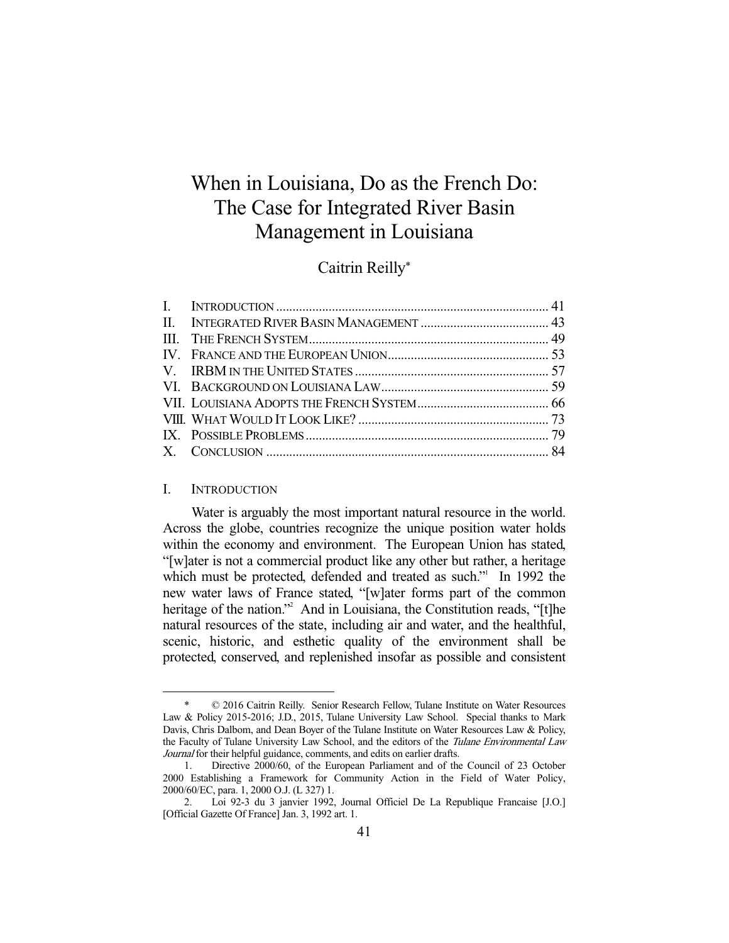# When in Louisiana, Do as the French Do: The Case for Integrated River Basin Management in Louisiana

## Caitrin Reilly\*

#### I. INTRODUCTION

-

 Water is arguably the most important natural resource in the world. Across the globe, countries recognize the unique position water holds within the economy and environment. The European Union has stated, "[w]ater is not a commercial product like any other but rather, a heritage which must be protected, defended and treated as such." In 1992 the new water laws of France stated, "[w]ater forms part of the common heritage of the nation."<sup>2</sup> And in Louisiana, the Constitution reads, "[t]he natural resources of the state, including air and water, and the healthful, scenic, historic, and esthetic quality of the environment shall be protected, conserved, and replenished insofar as possible and consistent

 $© 2016 Caitrin Reilly. Senior Research Fellow, Tulane Institute on Water Resources$ Law & Policy 2015-2016; J.D., 2015, Tulane University Law School. Special thanks to Mark Davis, Chris Dalbom, and Dean Boyer of the Tulane Institute on Water Resources Law & Policy, the Faculty of Tulane University Law School, and the editors of the Tulane Environmental Law Journal for their helpful guidance, comments, and edits on earlier drafts.

 <sup>1.</sup> Directive 2000/60, of the European Parliament and of the Council of 23 October 2000 Establishing a Framework for Community Action in the Field of Water Policy, 2000/60/EC, para. 1, 2000 O.J. (L 327) 1.

 <sup>2.</sup> Loi 92-3 du 3 janvier 1992, Journal Officiel De La Republique Francaise [J.O.] [Official Gazette Of France] Jan. 3, 1992 art. 1.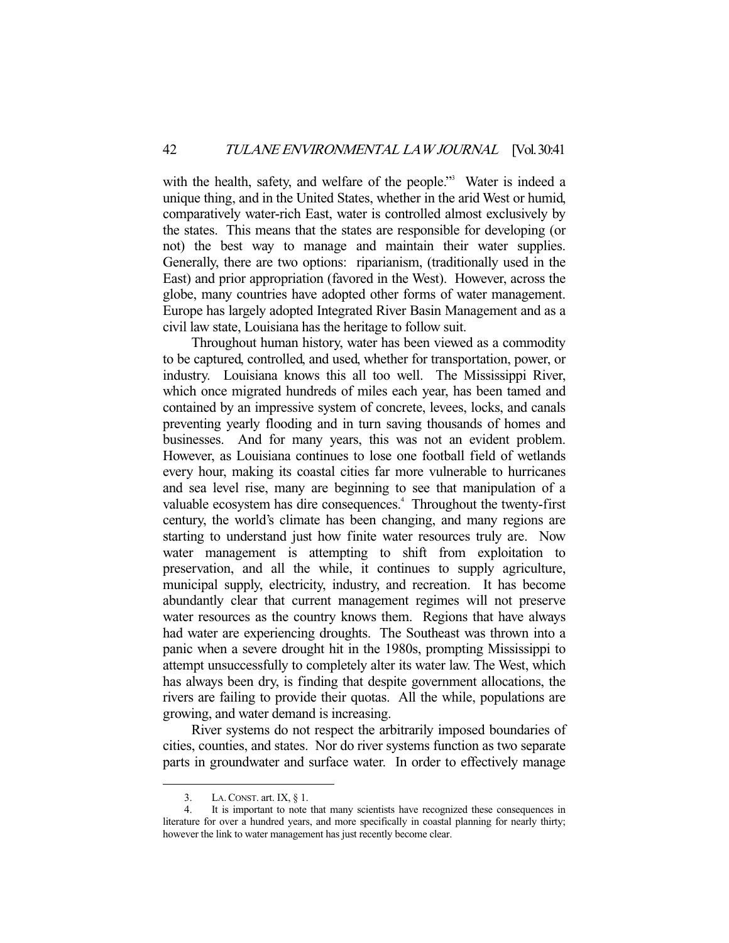with the health, safety, and welfare of the people."<sup>3</sup> Water is indeed a unique thing, and in the United States, whether in the arid West or humid, comparatively water-rich East, water is controlled almost exclusively by the states. This means that the states are responsible for developing (or not) the best way to manage and maintain their water supplies. Generally, there are two options: riparianism, (traditionally used in the East) and prior appropriation (favored in the West). However, across the globe, many countries have adopted other forms of water management. Europe has largely adopted Integrated River Basin Management and as a civil law state, Louisiana has the heritage to follow suit.

 Throughout human history, water has been viewed as a commodity to be captured, controlled, and used, whether for transportation, power, or industry. Louisiana knows this all too well. The Mississippi River, which once migrated hundreds of miles each year, has been tamed and contained by an impressive system of concrete, levees, locks, and canals preventing yearly flooding and in turn saving thousands of homes and businesses. And for many years, this was not an evident problem. However, as Louisiana continues to lose one football field of wetlands every hour, making its coastal cities far more vulnerable to hurricanes and sea level rise, many are beginning to see that manipulation of a valuable ecosystem has dire consequences.<sup>4</sup> Throughout the twenty-first century, the world's climate has been changing, and many regions are starting to understand just how finite water resources truly are. Now water management is attempting to shift from exploitation to preservation, and all the while, it continues to supply agriculture, municipal supply, electricity, industry, and recreation. It has become abundantly clear that current management regimes will not preserve water resources as the country knows them. Regions that have always had water are experiencing droughts. The Southeast was thrown into a panic when a severe drought hit in the 1980s, prompting Mississippi to attempt unsuccessfully to completely alter its water law. The West, which has always been dry, is finding that despite government allocations, the rivers are failing to provide their quotas. All the while, populations are growing, and water demand is increasing.

 River systems do not respect the arbitrarily imposed boundaries of cities, counties, and states. Nor do river systems function as two separate parts in groundwater and surface water. In order to effectively manage

 <sup>3.</sup> LA.CONST. art. IX, § 1.

 <sup>4.</sup> It is important to note that many scientists have recognized these consequences in literature for over a hundred years, and more specifically in coastal planning for nearly thirty; however the link to water management has just recently become clear.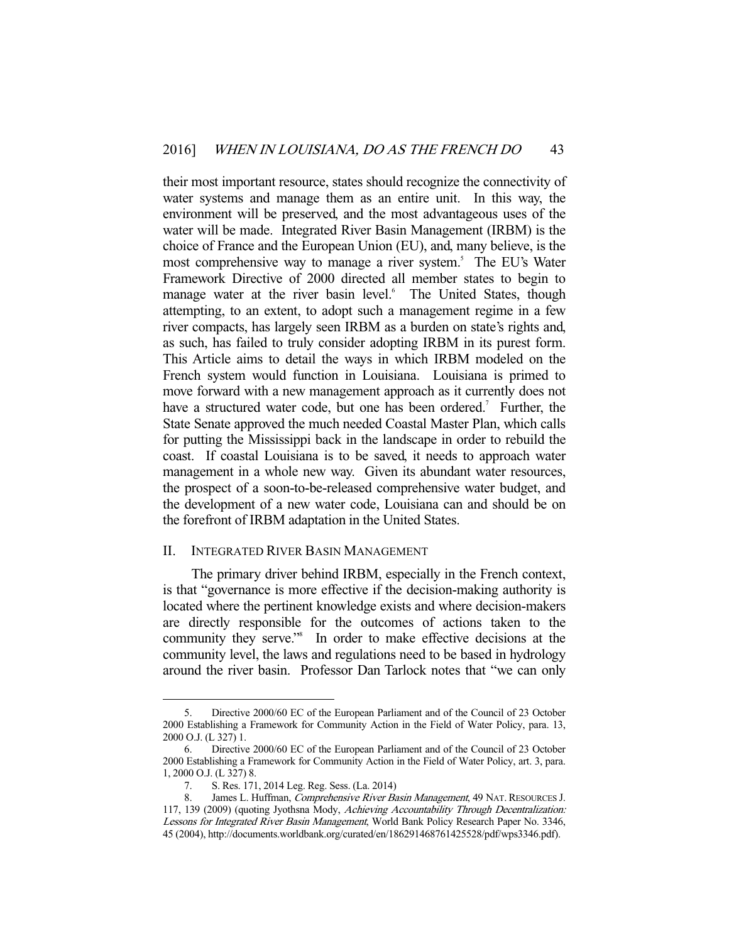their most important resource, states should recognize the connectivity of water systems and manage them as an entire unit. In this way, the environment will be preserved, and the most advantageous uses of the water will be made. Integrated River Basin Management (IRBM) is the choice of France and the European Union (EU), and, many believe, is the most comprehensive way to manage a river system.<sup>5</sup> The EU's Water Framework Directive of 2000 directed all member states to begin to manage water at the river basin level.<sup>6</sup> The United States, though attempting, to an extent, to adopt such a management regime in a few river compacts, has largely seen IRBM as a burden on state's rights and, as such, has failed to truly consider adopting IRBM in its purest form. This Article aims to detail the ways in which IRBM modeled on the French system would function in Louisiana. Louisiana is primed to move forward with a new management approach as it currently does not have a structured water code, but one has been ordered.<sup>7</sup> Further, the State Senate approved the much needed Coastal Master Plan, which calls for putting the Mississippi back in the landscape in order to rebuild the coast. If coastal Louisiana is to be saved, it needs to approach water management in a whole new way. Given its abundant water resources, the prospect of a soon-to-be-released comprehensive water budget, and the development of a new water code, Louisiana can and should be on the forefront of IRBM adaptation in the United States.

### II. INTEGRATED RIVER BASIN MANAGEMENT

 The primary driver behind IRBM, especially in the French context, is that "governance is more effective if the decision-making authority is located where the pertinent knowledge exists and where decision-makers are directly responsible for the outcomes of actions taken to the community they serve."<sup>8</sup> In order to make effective decisions at the community level, the laws and regulations need to be based in hydrology around the river basin. Professor Dan Tarlock notes that "we can only

 <sup>5.</sup> Directive 2000/60 EC of the European Parliament and of the Council of 23 October 2000 Establishing a Framework for Community Action in the Field of Water Policy, para. 13, 2000 O.J. (L 327) 1.

 <sup>6.</sup> Directive 2000/60 EC of the European Parliament and of the Council of 23 October 2000 Establishing a Framework for Community Action in the Field of Water Policy, art. 3, para. 1, 2000 O.J. (L 327) 8.

 <sup>7.</sup> S. Res. 171, 2014 Leg. Reg. Sess. (La. 2014)

<sup>8.</sup> James L. Huffman, Comprehensive River Basin Management, 49 NAT. RESOURCES J. 117, 139 (2009) (quoting Jyothsna Mody, Achieving Accountability Through Decentralization: Lessons for Integrated River Basin Management, World Bank Policy Research Paper No. 3346, 45 (2004), http://documents.worldbank.org/curated/en/186291468761425528/pdf/wps3346.pdf).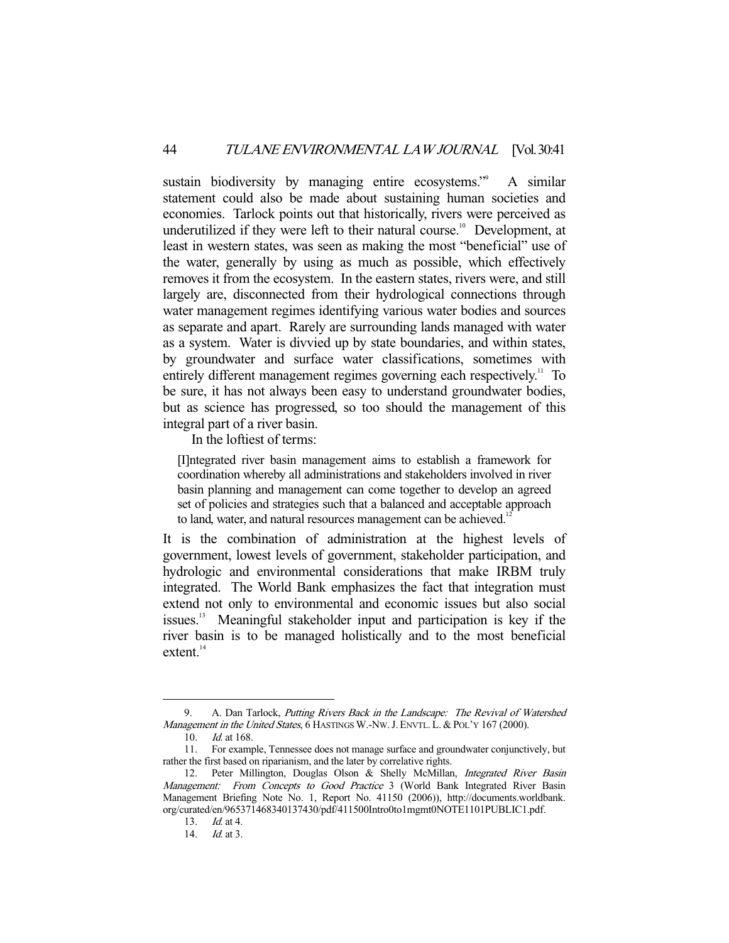sustain biodiversity by managing entire ecosystems."<sup>9</sup> A similar statement could also be made about sustaining human societies and economies. Tarlock points out that historically, rivers were perceived as underutilized if they were left to their natural course.<sup>10</sup> Development, at least in western states, was seen as making the most "beneficial" use of the water, generally by using as much as possible, which effectively removes it from the ecosystem. In the eastern states, rivers were, and still largely are, disconnected from their hydrological connections through water management regimes identifying various water bodies and sources as separate and apart. Rarely are surrounding lands managed with water as a system. Water is divvied up by state boundaries, and within states, by groundwater and surface water classifications, sometimes with entirely different management regimes governing each respectively.<sup>11</sup> To be sure, it has not always been easy to understand groundwater bodies, but as science has progressed, so too should the management of this integral part of a river basin.

In the loftiest of terms:

[I]ntegrated river basin management aims to establish a framework for coordination whereby all administrations and stakeholders involved in river basin planning and management can come together to develop an agreed set of policies and strategies such that a balanced and acceptable approach to land, water, and natural resources management can be achieved.<sup>12</sup>

It is the combination of administration at the highest levels of government, lowest levels of government, stakeholder participation, and hydrologic and environmental considerations that make IRBM truly integrated. The World Bank emphasizes the fact that integration must extend not only to environmental and economic issues but also social issues.13 Meaningful stakeholder input and participation is key if the river basin is to be managed holistically and to the most beneficial  $extent.<sup>14</sup>$ 

<sup>9.</sup> A. Dan Tarlock, Putting Rivers Back in the Landscape: The Revival of Watershed Management in the United States, 6 HASTINGS W.-NW. J. ENVTL. L. & POL'Y 167 (2000).

 <sup>10.</sup> Id. at 168.

 <sup>11.</sup> For example, Tennessee does not manage surface and groundwater conjunctively, but rather the first based on riparianism, and the later by correlative rights.

<sup>12.</sup> Peter Millington, Douglas Olson & Shelly McMillan, Integrated River Basin Management: From Concepts to Good Practice 3 (World Bank Integrated River Basin Management Briefing Note No. 1, Report No. 41150 (2006)), http://documents.worldbank. org/curated/en/965371468340137430/pdf/411500Intro0to1mgmt0NOTE1101PUBLIC1.pdf.

 <sup>13.</sup> Id. at 4.

 <sup>14.</sup> Id. at 3.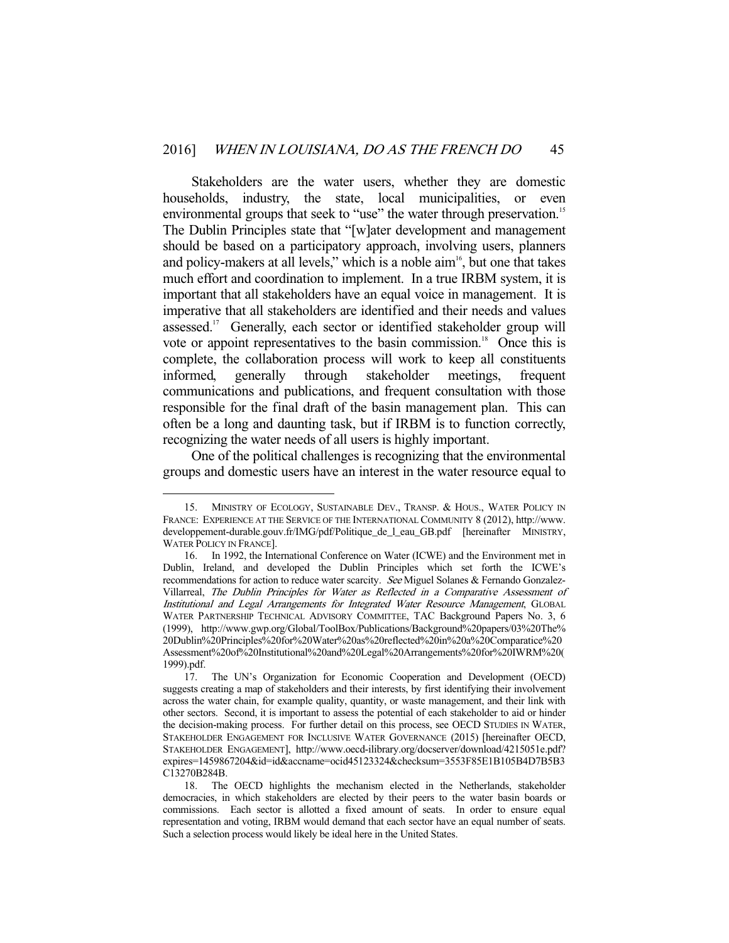Stakeholders are the water users, whether they are domestic households, industry, the state, local municipalities, or even environmental groups that seek to "use" the water through preservation.<sup>15</sup> The Dublin Principles state that "[w]ater development and management should be based on a participatory approach, involving users, planners and policy-makers at all levels," which is a noble  $\dim^{16}$ , but one that takes much effort and coordination to implement. In a true IRBM system, it is important that all stakeholders have an equal voice in management. It is imperative that all stakeholders are identified and their needs and values assessed.<sup>17</sup> Generally, each sector or identified stakeholder group will vote or appoint representatives to the basin commission.<sup>18</sup> Once this is complete, the collaboration process will work to keep all constituents informed, generally through stakeholder meetings, frequent communications and publications, and frequent consultation with those responsible for the final draft of the basin management plan. This can often be a long and daunting task, but if IRBM is to function correctly, recognizing the water needs of all users is highly important.

 One of the political challenges is recognizing that the environmental groups and domestic users have an interest in the water resource equal to

<sup>15.</sup> MINISTRY OF ECOLOGY, SUSTAINABLE DEV., TRANSP. & HOUS., WATER POLICY IN FRANCE: EXPERIENCE AT THE SERVICE OF THE INTERNATIONAL COMMUNITY 8 (2012), http://www. developpement-durable.gouv.fr/IMG/pdf/Politique\_de\_l\_eau\_GB.pdf [hereinafter MINISTRY, WATER POLICY IN FRANCE].

 <sup>16.</sup> In 1992, the International Conference on Water (ICWE) and the Environment met in Dublin, Ireland, and developed the Dublin Principles which set forth the ICWE's recommendations for action to reduce water scarcity. See Miguel Solanes & Fernando Gonzalez-Villarreal, The Dublin Principles for Water as Reflected in a Comparative Assessment of Institutional and Legal Arrangements for Integrated Water Resource Management, GLOBAL WATER PARTNERSHIP TECHNICAL ADVISORY COMMITTEE, TAC Background Papers No. 3, 6 (1999), http://www.gwp.org/Global/ToolBox/Publications/Background%20papers/03%20The% 20Dublin%20Principles%20for%20Water%20as%20reflected%20in%20a%20Comparatice%20 Assessment%20of%20Institutional%20and%20Legal%20Arrangements%20for%20IWRM%20( 1999).pdf.

 <sup>17.</sup> The UN's Organization for Economic Cooperation and Development (OECD) suggests creating a map of stakeholders and their interests, by first identifying their involvement across the water chain, for example quality, quantity, or waste management, and their link with other sectors. Second, it is important to assess the potential of each stakeholder to aid or hinder the decision-making process. For further detail on this process, see OECD STUDIES IN WATER, STAKEHOLDER ENGAGEMENT FOR INCLUSIVE WATER GOVERNANCE (2015) [hereinafter OECD, STAKEHOLDER ENGAGEMENT], http://www.oecd-ilibrary.org/docserver/download/4215051e.pdf? expires=1459867204&id=id&accname=ocid45123324&checksum=3553F85E1B105B4D7B5B3 C13270B284B.

 <sup>18.</sup> The OECD highlights the mechanism elected in the Netherlands, stakeholder democracies, in which stakeholders are elected by their peers to the water basin boards or commissions. Each sector is allotted a fixed amount of seats. In order to ensure equal representation and voting, IRBM would demand that each sector have an equal number of seats. Such a selection process would likely be ideal here in the United States.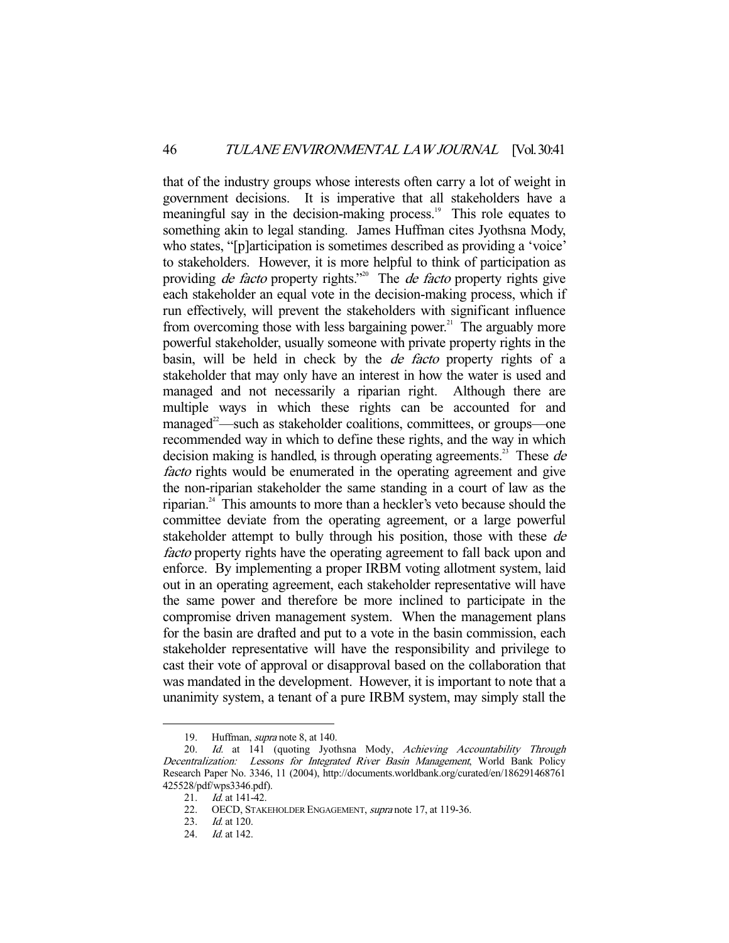that of the industry groups whose interests often carry a lot of weight in government decisions. It is imperative that all stakeholders have a meaningful say in the decision-making process.<sup>19</sup> This role equates to something akin to legal standing. James Huffman cites Jyothsna Mody, who states, "[p]articipation is sometimes described as providing a 'voice' to stakeholders. However, it is more helpful to think of participation as providing *de facto* property rights.<sup>"20</sup> The *de facto* property rights give each stakeholder an equal vote in the decision-making process, which if run effectively, will prevent the stakeholders with significant influence from overcoming those with less bargaining power.<sup>21</sup> The arguably more powerful stakeholder, usually someone with private property rights in the basin, will be held in check by the de facto property rights of a stakeholder that may only have an interest in how the water is used and managed and not necessarily a riparian right. Although there are multiple ways in which these rights can be accounted for and managed<sup>22</sup>—such as stakeholder coalitions, committees, or groups—one recommended way in which to define these rights, and the way in which decision making is handled, is through operating agreements.<sup>23</sup> These  $de$ facto rights would be enumerated in the operating agreement and give the non-riparian stakeholder the same standing in a court of law as the riparian.24 This amounts to more than a heckler's veto because should the committee deviate from the operating agreement, or a large powerful stakeholder attempt to bully through his position, those with these de facto property rights have the operating agreement to fall back upon and enforce. By implementing a proper IRBM voting allotment system, laid out in an operating agreement, each stakeholder representative will have the same power and therefore be more inclined to participate in the compromise driven management system. When the management plans for the basin are drafted and put to a vote in the basin commission, each stakeholder representative will have the responsibility and privilege to cast their vote of approval or disapproval based on the collaboration that was mandated in the development. However, it is important to note that a unanimity system, a tenant of a pure IRBM system, may simply stall the

 <sup>19.</sup> Huffman, supra note 8, at 140.

<sup>20.</sup> Id. at 141 (quoting Jyothsna Mody, Achieving Accountability Through Decentralization: Lessons for Integrated River Basin Management, World Bank Policy Research Paper No. 3346, 11 (2004), http://documents.worldbank.org/curated/en/186291468761 425528/pdf/wps3346.pdf).

<sup>21.</sup> *Id.* at 141-42.

<sup>22.</sup> OECD, STAKEHOLDER ENGAGEMENT, supra note 17, at 119-36.

 <sup>23.</sup> Id. at 120.

<sup>24.</sup> *Id.* at 142.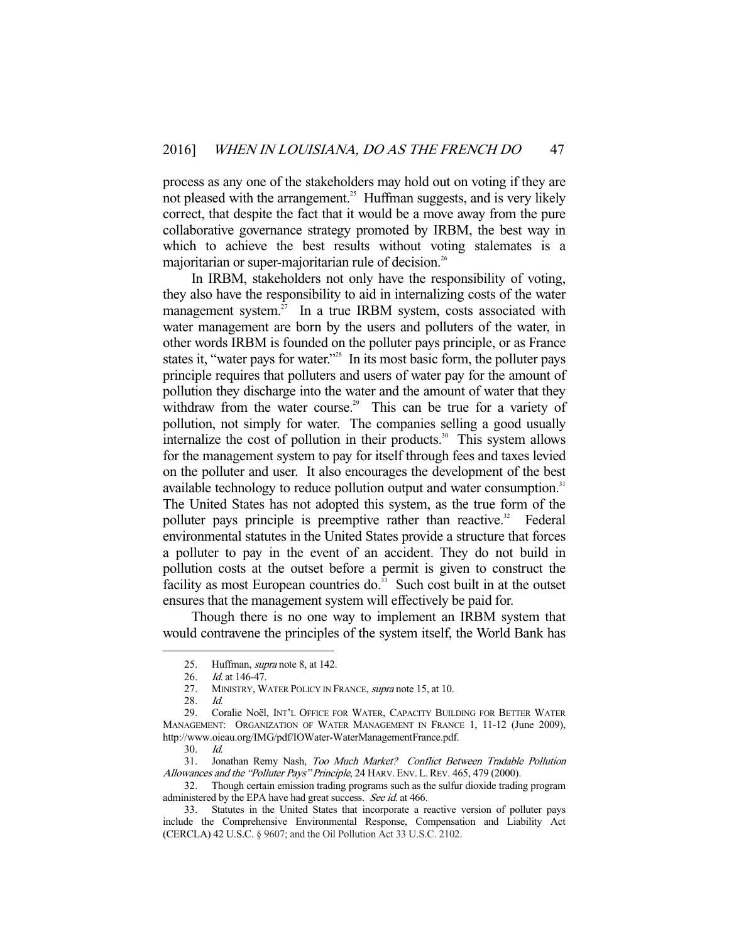process as any one of the stakeholders may hold out on voting if they are not pleased with the arrangement.<sup>25</sup> Huffman suggests, and is very likely correct, that despite the fact that it would be a move away from the pure collaborative governance strategy promoted by IRBM, the best way in which to achieve the best results without voting stalemates is a majoritarian or super-majoritarian rule of decision.<sup>26</sup>

 In IRBM, stakeholders not only have the responsibility of voting, they also have the responsibility to aid in internalizing costs of the water management system. $2^7$  In a true IRBM system, costs associated with water management are born by the users and polluters of the water, in other words IRBM is founded on the polluter pays principle, or as France states it, "water pays for water."<sup>28</sup> In its most basic form, the polluter pays principle requires that polluters and users of water pay for the amount of pollution they discharge into the water and the amount of water that they withdraw from the water course.<sup>29</sup> This can be true for a variety of pollution, not simply for water. The companies selling a good usually internalize the cost of pollution in their products.<sup>30</sup> This system allows for the management system to pay for itself through fees and taxes levied on the polluter and user. It also encourages the development of the best available technology to reduce pollution output and water consumption.<sup>31</sup> The United States has not adopted this system, as the true form of the polluter pays principle is preemptive rather than reactive.<sup>32</sup> Federal environmental statutes in the United States provide a structure that forces a polluter to pay in the event of an accident. They do not build in pollution costs at the outset before a permit is given to construct the facility as most European countries do. $\frac{3}{3}$  Such cost built in at the outset ensures that the management system will effectively be paid for.

 Though there is no one way to implement an IRBM system that would contravene the principles of the system itself, the World Bank has

<sup>25.</sup> Huffman, *supra* note 8, at 142.

<sup>26.</sup> *Id.* at 146-47.

<sup>27.</sup> MINISTRY, WATER POLICY IN FRANCE, *supra* note 15, at 10.

 <sup>28.</sup> Id.

 <sup>29.</sup> Coralie Noël, INT'L OFFICE FOR WATER, CAPACITY BUILDING FOR BETTER WATER MANAGEMENT: ORGANIZATION OF WATER MANAGEMENT IN FRANCE 1, 11-12 (June 2009), http://www.oieau.org/IMG/pdf/IOWater-WaterManagementFrance.pdf.

 <sup>30.</sup> Id.

 <sup>31.</sup> Jonathan Remy Nash, Too Much Market? Conflict Between Tradable Pollution Allowances and the "Polluter Pays" Principle, 24 HARV. ENV. L.REV. 465, 479 (2000).

 <sup>32.</sup> Though certain emission trading programs such as the sulfur dioxide trading program administered by the EPA have had great success. See id. at 466.

 <sup>33.</sup> Statutes in the United States that incorporate a reactive version of polluter pays include the Comprehensive Environmental Response, Compensation and Liability Act (CERCLA) 42 U.S.C. § 9607; and the Oil Pollution Act 33 U.S.C. 2102.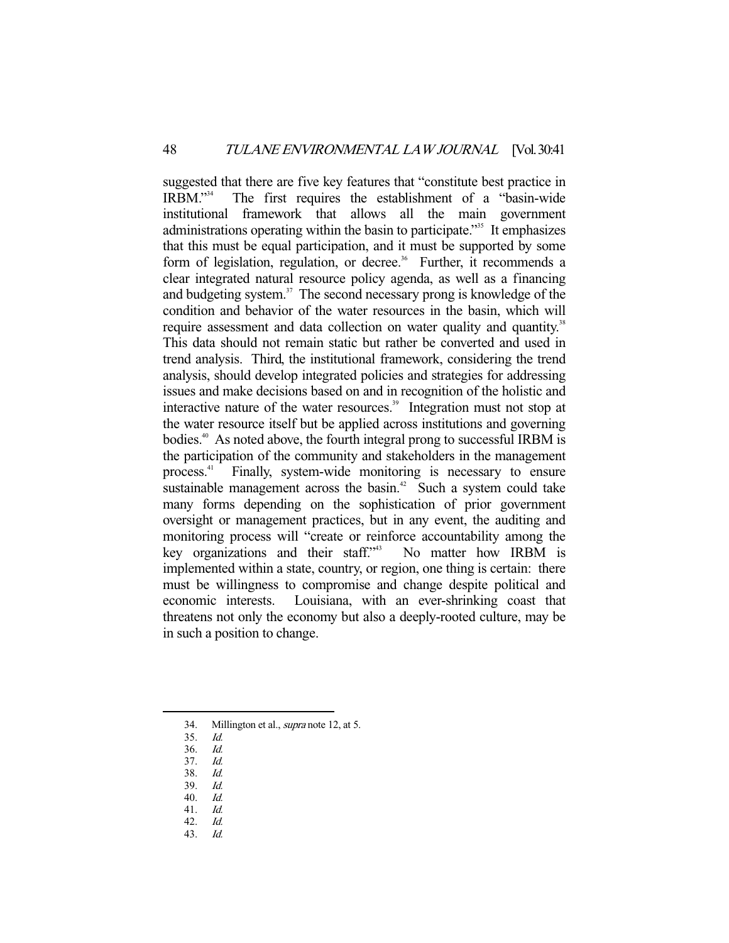suggested that there are five key features that "constitute best practice in IRBM."34 The first requires the establishment of a "basin-wide institutional framework that allows all the main government administrations operating within the basin to participate.<sup>355</sup> It emphasizes that this must be equal participation, and it must be supported by some form of legislation, regulation, or decree.<sup>36</sup> Further, it recommends a clear integrated natural resource policy agenda, as well as a financing and budgeting system.<sup>37</sup> The second necessary prong is knowledge of the condition and behavior of the water resources in the basin, which will require assessment and data collection on water quality and quantity.<sup>38</sup> This data should not remain static but rather be converted and used in trend analysis. Third, the institutional framework, considering the trend analysis, should develop integrated policies and strategies for addressing issues and make decisions based on and in recognition of the holistic and interactive nature of the water resources.<sup>39</sup> Integration must not stop at the water resource itself but be applied across institutions and governing bodies.<sup>40</sup> As noted above, the fourth integral prong to successful IRBM is the participation of the community and stakeholders in the management process.41 Finally, system-wide monitoring is necessary to ensure sustainable management across the basin.<sup>42</sup> Such a system could take many forms depending on the sophistication of prior government oversight or management practices, but in any event, the auditing and monitoring process will "create or reinforce accountability among the key organizations and their staff."<sup>43</sup> No matter how IRBM is implemented within a state, country, or region, one thing is certain: there must be willingness to compromise and change despite political and economic interests. Louisiana, with an ever-shrinking coast that threatens not only the economy but also a deeply-rooted culture, may be in such a position to change.

-

39. Id.

<sup>34.</sup> Millington et al., *supra* note 12, at 5.

<sup>35.</sup> *Id.*<br>36. *Id.* 

 $36.$ 

 <sup>37.</sup> Id.

 <sup>38.</sup> Id.

 <sup>40.</sup> Id.

 <sup>41.</sup> Id. 42. Id.

 <sup>43.</sup> Id.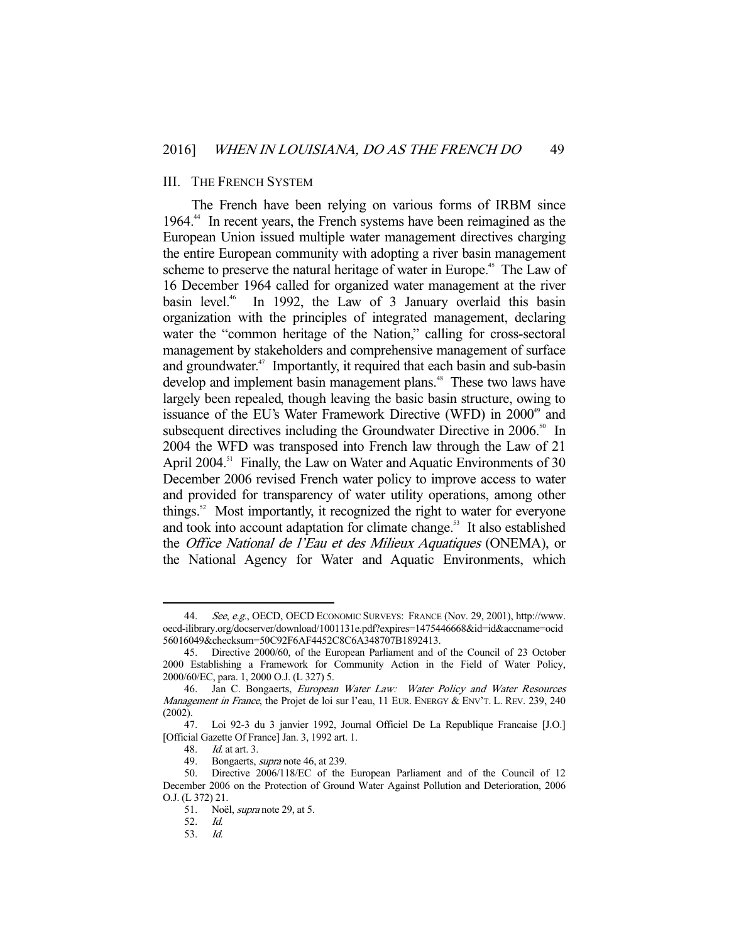#### III. THE FRENCH SYSTEM

 The French have been relying on various forms of IRBM since 1964.<sup>44</sup> In recent years, the French systems have been reimagined as the European Union issued multiple water management directives charging the entire European community with adopting a river basin management scheme to preserve the natural heritage of water in Europe.<sup>45</sup> The Law of 16 December 1964 called for organized water management at the river basin level.<sup>46</sup> In 1992, the Law of 3 January overlaid this basin organization with the principles of integrated management, declaring water the "common heritage of the Nation," calling for cross-sectoral management by stakeholders and comprehensive management of surface and groundwater.<sup>47</sup> Importantly, it required that each basin and sub-basin develop and implement basin management plans.<sup>48</sup> These two laws have largely been repealed, though leaving the basic basin structure, owing to issuance of the EU's Water Framework Directive (WFD) in 2000<sup>49</sup> and subsequent directives including the Groundwater Directive in 2006.<sup>50</sup> In 2004 the WFD was transposed into French law through the Law of 21 April 2004.<sup>51</sup> Finally, the Law on Water and Aquatic Environments of 30 December 2006 revised French water policy to improve access to water and provided for transparency of water utility operations, among other things.<sup>52</sup> Most importantly, it recognized the right to water for everyone and took into account adaptation for climate change.<sup>53</sup> It also established the Office National de l'Eau et des Milieux Aquatiques (ONEMA), or the National Agency for Water and Aquatic Environments, which

<sup>44.</sup> See, e.g., OECD, OECD ECONOMIC SURVEYS: FRANCE (Nov. 29, 2001), http://www. oecd-ilibrary.org/docserver/download/1001131e.pdf?expires=1475446668&id=id&accname=ocid 56016049&checksum=50C92F6AF4452C8C6A348707B1892413.

 <sup>45.</sup> Directive 2000/60, of the European Parliament and of the Council of 23 October 2000 Establishing a Framework for Community Action in the Field of Water Policy, 2000/60/EC, para. 1, 2000 O.J. (L 327) 5.

<sup>46.</sup> Jan C. Bongaerts, European Water Law: Water Policy and Water Resources Management in France, the Projet de loi sur l'eau, 11 EUR. ENERGY & ENV'T. L. REV. 239, 240 (2002).

 <sup>47.</sup> Loi 92-3 du 3 janvier 1992, Journal Officiel De La Republique Francaise [J.O.] [Official Gazette Of France] Jan. 3, 1992 art. 1.

<sup>48.</sup> *Id.* at art. 3.<br>49. Bongaerts,

Bongaerts, *supra* note 46, at 239.

 <sup>50.</sup> Directive 2006/118/EC of the European Parliament and of the Council of 12 December 2006 on the Protection of Ground Water Against Pollution and Deterioration, 2006 O.J. (L 372) 21.

<sup>51.</sup> Noël, *supra* note 29, at 5.

 <sup>52.</sup> Id.

 <sup>53.</sup> Id.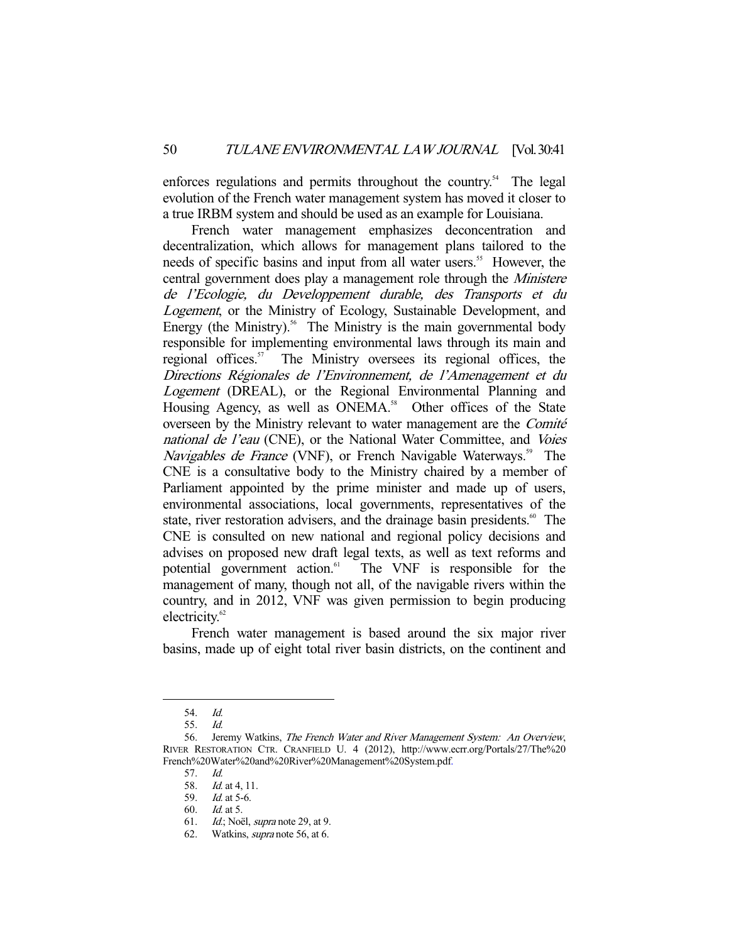enforces regulations and permits throughout the country.<sup>54</sup> The legal evolution of the French water management system has moved it closer to a true IRBM system and should be used as an example for Louisiana.

 French water management emphasizes deconcentration and decentralization, which allows for management plans tailored to the needs of specific basins and input from all water users.<sup>55</sup> However, the central government does play a management role through the Ministere de l'Ecologie, du Developpement durable, des Transports et du Logement, or the Ministry of Ecology, Sustainable Development, and Energy (the Ministry). $56$  The Ministry is the main governmental body responsible for implementing environmental laws through its main and regional offices.<sup>57</sup> The Ministry oversees its regional offices, the Directions Régionales de l'Environnement, de l'Amenagement et du Logement (DREAL), or the Regional Environmental Planning and Housing Agency, as well as ONEMA.<sup>58</sup> Other offices of the State overseen by the Ministry relevant to water management are the Comité national de l'eau (CNE), or the National Water Committee, and Voies Navigables de France (VNF), or French Navigable Waterways.<sup>59</sup> The CNE is a consultative body to the Ministry chaired by a member of Parliament appointed by the prime minister and made up of users, environmental associations, local governments, representatives of the state, river restoration advisers, and the drainage basin presidents.<sup>60</sup> The CNE is consulted on new national and regional policy decisions and advises on proposed new draft legal texts, as well as text reforms and potential government action.<sup>61</sup> The VNF is responsible for the management of many, though not all, of the navigable rivers within the country, and in 2012, VNF was given permission to begin producing electricity.<sup>62</sup>

 French water management is based around the six major river basins, made up of eight total river basin districts, on the continent and

 <sup>54.</sup> Id.

 <sup>55.</sup> Id.

 <sup>56.</sup> Jeremy Watkins, The French Water and River Management System: An Overview, RIVER RESTORATION CTR. CRANFIELD U. 4 (2012), http://www.ecrr.org/Portals/27/The%20 French%20Water%20and%20River%20Management%20System.pdf.

 <sup>57.</sup> Id.

<sup>58.</sup> *Id.* at 4, 11.

 <sup>59.</sup> Id. at 5-6.

 <sup>60.</sup> Id. at 5.

<sup>61.</sup> Id.; Noël, supra note 29, at 9.

 <sup>62.</sup> Watkins, supra note 56, at 6.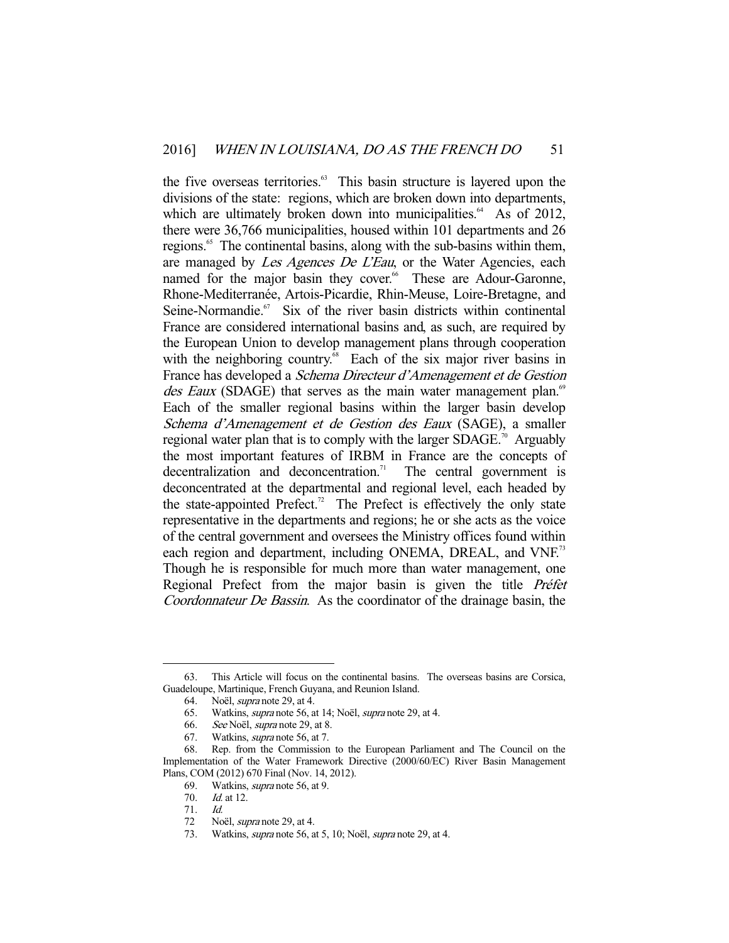the five overseas territories.<sup>63</sup> This basin structure is layered upon the divisions of the state: regions, which are broken down into departments, which are ultimately broken down into municipalities.<sup> $64$ </sup> As of 2012, there were 36,766 municipalities, housed within 101 departments and 26 regions.<sup>65</sup> The continental basins, along with the sub-basins within them, are managed by Les Agences De L'Eau, or the Water Agencies, each named for the major basin they cover.<sup>66</sup> These are Adour-Garonne, Rhone-Mediterranée, Artois-Picardie, Rhin-Meuse, Loire-Bretagne, and Seine-Normandie.<sup>67</sup> Six of the river basin districts within continental France are considered international basins and, as such, are required by the European Union to develop management plans through cooperation with the neighboring country.<sup>68</sup> Each of the six major river basins in France has developed a Schema Directeur d'Amenagement et de Gestion des Eaux (SDAGE) that serves as the main water management plan.<sup>69</sup> Each of the smaller regional basins within the larger basin develop Schema d'Amenagement et de Gestion des Eaux (SAGE), a smaller regional water plan that is to comply with the larger  $SDAGE<sup>70</sup>$ . Arguably the most important features of IRBM in France are the concepts of decentralization and deconcentration.<sup>71</sup> The central government is deconcentrated at the departmental and regional level, each headed by the state-appointed Prefect.<sup>72</sup> The Prefect is effectively the only state representative in the departments and regions; he or she acts as the voice of the central government and oversees the Ministry offices found within each region and department, including ONEMA, DREAL, and VNF.<sup>73</sup> Though he is responsible for much more than water management, one Regional Prefect from the major basin is given the title Préfet Coordonnateur De Bassin. As the coordinator of the drainage basin, the

 <sup>63.</sup> This Article will focus on the continental basins. The overseas basins are Corsica, Guadeloupe, Martinique, French Guyana, and Reunion Island.

 <sup>64.</sup> Noël, supra note 29, at 4.

<sup>65.</sup> Watkins, *supra* note 56, at 14; Noël, *supra* note 29, at 4.

 <sup>66.</sup> See Noël, supra note 29, at 8.

 <sup>67.</sup> Watkins, supra note 56, at 7.

 <sup>68.</sup> Rep. from the Commission to the European Parliament and The Council on the Implementation of the Water Framework Directive (2000/60/EC) River Basin Management Plans, COM (2012) 670 Final (Nov. 14, 2012).

 <sup>69.</sup> Watkins, supra note 56, at 9.

 <sup>70.</sup> Id. at 12.

 <sup>71.</sup> Id.

<sup>72</sup> Noël, *supra* note 29, at 4.

<sup>73.</sup> Watkins, *supra* note 56, at 5, 10; Noël, *supra* note 29, at 4.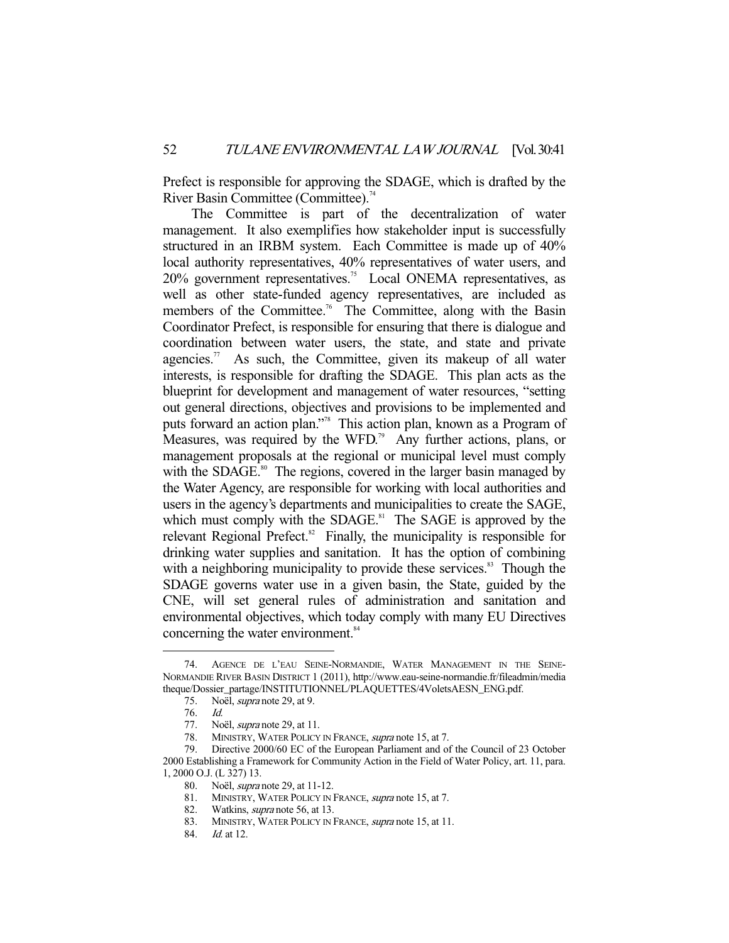Prefect is responsible for approving the SDAGE, which is drafted by the River Basin Committee (Committee).<sup>74</sup>

 The Committee is part of the decentralization of water management. It also exemplifies how stakeholder input is successfully structured in an IRBM system. Each Committee is made up of 40% local authority representatives, 40% representatives of water users, and 20% government representatives.75 Local ONEMA representatives, as well as other state-funded agency representatives, are included as members of the Committee.<sup>76</sup> The Committee, along with the Basin Coordinator Prefect, is responsible for ensuring that there is dialogue and coordination between water users, the state, and state and private agencies.<sup>77</sup> As such, the Committee, given its makeup of all water interests, is responsible for drafting the SDAGE. This plan acts as the blueprint for development and management of water resources, "setting out general directions, objectives and provisions to be implemented and puts forward an action plan."78 This action plan, known as a Program of Measures, was required by the WFD.<sup>79</sup> Any further actions, plans, or management proposals at the regional or municipal level must comply with the SDAGE.<sup>80</sup> The regions, covered in the larger basin managed by the Water Agency, are responsible for working with local authorities and users in the agency's departments and municipalities to create the SAGE, which must comply with the SDAGE.<sup>81</sup> The SAGE is approved by the relevant Regional Prefect. ${}^{82}$  Finally, the municipality is responsible for drinking water supplies and sanitation. It has the option of combining with a neighboring municipality to provide these services.<sup>83</sup> Though the SDAGE governs water use in a given basin, the State, guided by the CNE, will set general rules of administration and sanitation and environmental objectives, which today comply with many EU Directives concerning the water environment.<sup>84</sup>

 <sup>74.</sup> AGENCE DE L'EAU SEINE-NORMANDIE, WATER MANAGEMENT IN THE SEINE-NORMANDIE RIVER BASIN DISTRICT 1 (2011), http://www.eau-seine-normandie.fr/fileadmin/media theque/Dossier\_partage/INSTITUTIONNEL/PLAQUETTES/4VoletsAESN\_ENG.pdf.

 <sup>75.</sup> Noël, supra note 29, at 9.

 <sup>76.</sup> Id.

 <sup>77.</sup> Noël, supra note 29, at 11.

<sup>78.</sup> MINISTRY, WATER POLICY IN FRANCE, *supra* note 15, at 7.

 <sup>79.</sup> Directive 2000/60 EC of the European Parliament and of the Council of 23 October 2000 Establishing a Framework for Community Action in the Field of Water Policy, art. 11, para. 1, 2000 O.J. (L 327) 13.

<sup>80.</sup> Noël, *supra* note 29, at 11-12.<br>81. MINISTRY, WATER POLICY IN

MINISTRY, WATER POLICY IN FRANCE, supra note 15, at 7.

<sup>82.</sup> Watkins, *supra* note 56, at 13.

<sup>83.</sup> MINISTRY, WATER POLICY IN FRANCE, *supra* note 15, at 11.

<sup>84.</sup> *Id.* at 12.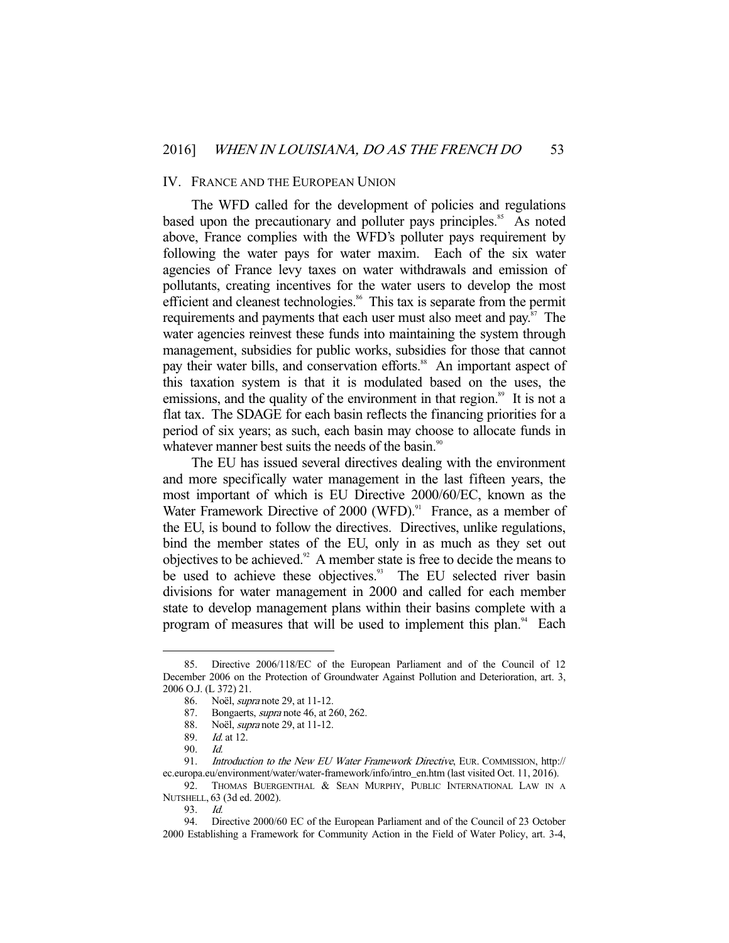#### IV. FRANCE AND THE EUROPEAN UNION

 The WFD called for the development of policies and regulations based upon the precautionary and polluter pays principles.<sup>85</sup> As noted above, France complies with the WFD's polluter pays requirement by following the water pays for water maxim. Each of the six water agencies of France levy taxes on water withdrawals and emission of pollutants, creating incentives for the water users to develop the most efficient and cleanest technologies.<sup>86</sup> This tax is separate from the permit requirements and payments that each user must also meet and pay.<sup>87</sup> The water agencies reinvest these funds into maintaining the system through management, subsidies for public works, subsidies for those that cannot pay their water bills, and conservation efforts.<sup>88</sup> An important aspect of this taxation system is that it is modulated based on the uses, the emissions, and the quality of the environment in that region.<sup>89</sup> It is not a flat tax. The SDAGE for each basin reflects the financing priorities for a period of six years; as such, each basin may choose to allocate funds in whatever manner best suits the needs of the basin.<sup>90</sup>

 The EU has issued several directives dealing with the environment and more specifically water management in the last fifteen years, the most important of which is EU Directive 2000/60/EC, known as the Water Framework Directive of 2000 (WFD).<sup>91</sup> France, as a member of the EU, is bound to follow the directives. Directives, unlike regulations, bind the member states of the EU, only in as much as they set out objectives to be achieved.92 A member state is free to decide the means to be used to achieve these objectives.<sup>93</sup> The EU selected river basin divisions for water management in 2000 and called for each member state to develop management plans within their basins complete with a program of measures that will be used to implement this plan.<sup>94</sup> Each

 <sup>85.</sup> Directive 2006/118/EC of the European Parliament and of the Council of 12 December 2006 on the Protection of Groundwater Against Pollution and Deterioration, art. 3, 2006 O.J. (L 372) 21.

 <sup>86.</sup> Noël, supra note 29, at 11-12.

<sup>87.</sup> Bongaerts, *supra* note 46, at 260, 262.

<sup>88.</sup> Noël, *supra* note 29, at 11-12.<br>89. *Id.* at 12.

 $Id.$  at 12.

 <sup>90.</sup> Id.

<sup>91.</sup> Introduction to the New EU Water Framework Directive, EUR. COMMISSION, http:// ec.europa.eu/environment/water/water-framework/info/intro\_en.htm (last visited Oct. 11, 2016).

<sup>92.</sup> THOMAS BUERGENTHAL & SEAN MURPHY, PUBLIC INTERNATIONAL LAW IN A NUTSHELL, 63 (3d ed. 2002).

 <sup>93.</sup> Id.

 <sup>94.</sup> Directive 2000/60 EC of the European Parliament and of the Council of 23 October 2000 Establishing a Framework for Community Action in the Field of Water Policy, art. 3-4,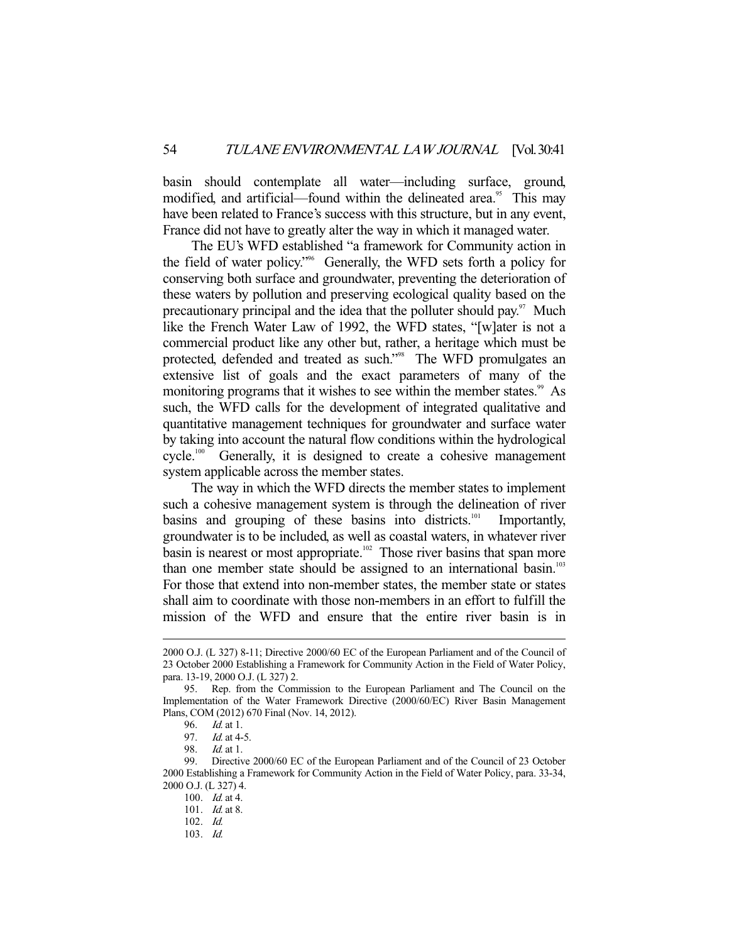basin should contemplate all water—including surface, ground, modified, and artificial—found within the delineated area.<sup>95</sup> This may have been related to France's success with this structure, but in any event, France did not have to greatly alter the way in which it managed water.

 The EU's WFD established "a framework for Community action in the field of water policy."96 Generally, the WFD sets forth a policy for conserving both surface and groundwater, preventing the deterioration of these waters by pollution and preserving ecological quality based on the precautionary principal and the idea that the polluter should pay. $\frac{97}{10}$  Much like the French Water Law of 1992, the WFD states, "[w]ater is not a commercial product like any other but, rather, a heritage which must be protected, defended and treated as such."<sup>98</sup> The WFD promulgates an extensive list of goals and the exact parameters of many of the monitoring programs that it wishes to see within the member states.<sup>99</sup> As such, the WFD calls for the development of integrated qualitative and quantitative management techniques for groundwater and surface water by taking into account the natural flow conditions within the hydrological cycle.<sup>100</sup> Generally, it is designed to create a cohesive management Generally, it is designed to create a cohesive management system applicable across the member states.

 The way in which the WFD directs the member states to implement such a cohesive management system is through the delineation of river basins and grouping of these basins into districts.<sup>101</sup> Importantly, groundwater is to be included, as well as coastal waters, in whatever river basin is nearest or most appropriate.<sup>102</sup> Those river basins that span more than one member state should be assigned to an international basin.<sup>103</sup> For those that extend into non-member states, the member state or states shall aim to coordinate with those non-members in an effort to fulfill the mission of the WFD and ensure that the entire river basin is in

<sup>2000</sup> O.J. (L 327) 8-11; Directive 2000/60 EC of the European Parliament and of the Council of 23 October 2000 Establishing a Framework for Community Action in the Field of Water Policy, para. 13-19, 2000 O.J. (L 327) 2.

 <sup>95.</sup> Rep. from the Commission to the European Parliament and The Council on the Implementation of the Water Framework Directive (2000/60/EC) River Basin Management Plans, COM (2012) 670 Final (Nov. 14, 2012).

<sup>96.</sup> *Id.* at 1.<br>97. *Id.* at 4-

<sup>97.</sup> *Id.* at 4-5.<br>98. *Id.* at 1.

*Id.* at 1.

 <sup>99.</sup> Directive 2000/60 EC of the European Parliament and of the Council of 23 October 2000 Establishing a Framework for Community Action in the Field of Water Policy, para. 33-34, 2000 O.J. (L 327) 4.

 <sup>100.</sup> Id. at 4.

 <sup>101.</sup> Id. at 8.

 <sup>102.</sup> Id.

 <sup>103.</sup> Id.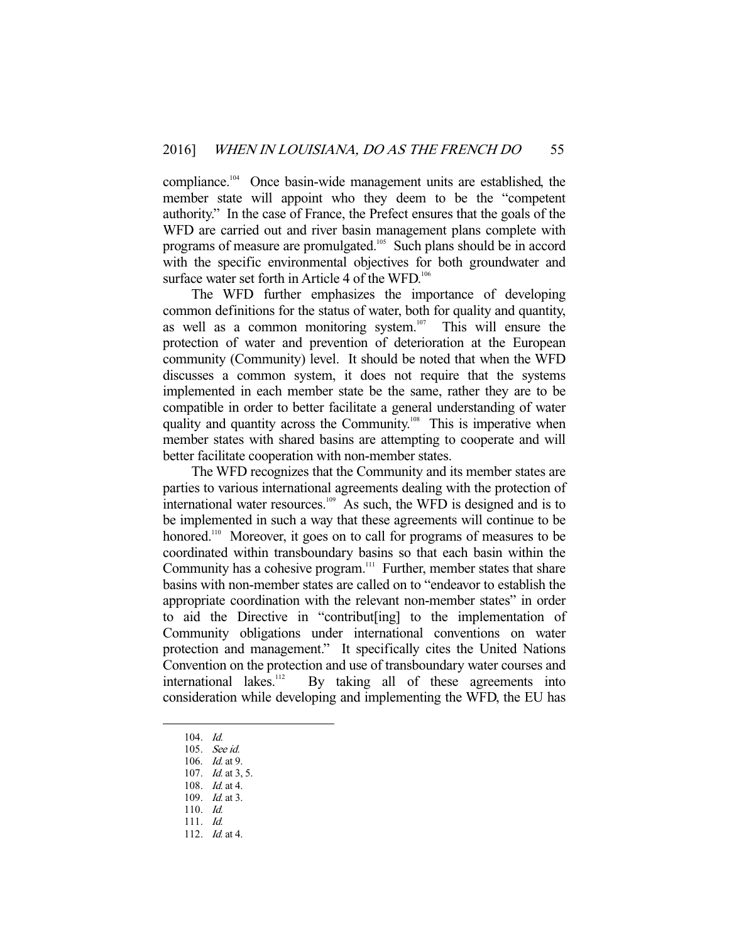compliance.104 Once basin-wide management units are established, the member state will appoint who they deem to be the "competent authority." In the case of France, the Prefect ensures that the goals of the WFD are carried out and river basin management plans complete with programs of measure are promulgated.<sup>105</sup> Such plans should be in accord with the specific environmental objectives for both groundwater and surface water set forth in Article 4 of the WFD. $106$ 

 The WFD further emphasizes the importance of developing common definitions for the status of water, both for quality and quantity, as well as a common monitoring system.<sup>107</sup> This will ensure the protection of water and prevention of deterioration at the European community (Community) level. It should be noted that when the WFD discusses a common system, it does not require that the systems implemented in each member state be the same, rather they are to be compatible in order to better facilitate a general understanding of water quality and quantity across the Community.<sup>108</sup> This is imperative when member states with shared basins are attempting to cooperate and will better facilitate cooperation with non-member states.

 The WFD recognizes that the Community and its member states are parties to various international agreements dealing with the protection of international water resources. $109$  As such, the WFD is designed and is to be implemented in such a way that these agreements will continue to be honored.<sup>110</sup> Moreover, it goes on to call for programs of measures to be coordinated within transboundary basins so that each basin within the Community has a cohesive program.<sup>111</sup> Further, member states that share basins with non-member states are called on to "endeavor to establish the appropriate coordination with the relevant non-member states" in order to aid the Directive in "contribut[ing] to the implementation of Community obligations under international conventions on water protection and management." It specifically cites the United Nations Convention on the protection and use of transboundary water courses and international lakes. $112$  By taking all of these agreements into consideration while developing and implementing the WFD, the EU has

 <sup>104.</sup> Id.

 <sup>105.</sup> See id.

 <sup>106.</sup> Id. at 9.

<sup>107.</sup> *Id.* at 3, 5.

 <sup>108.</sup> Id. at 4.

<sup>109.</sup> *Id.* at 3.

 <sup>110.</sup> Id.

 <sup>111.</sup> Id.

 <sup>112.</sup> Id. at 4.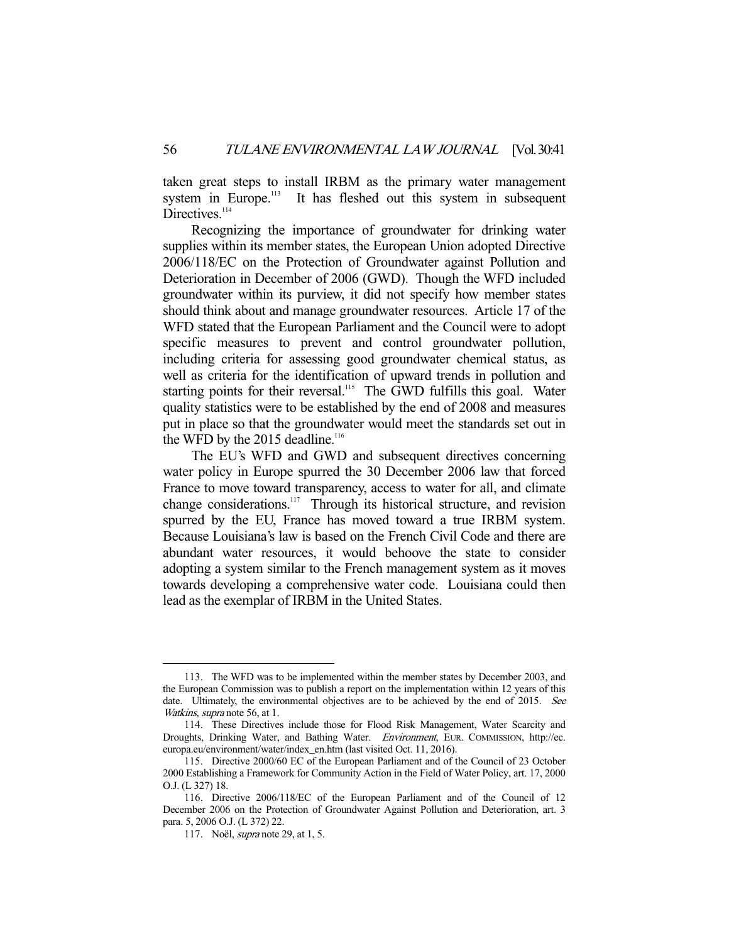taken great steps to install IRBM as the primary water management system in Europe.<sup>113</sup> It has fleshed out this system in subsequent It has fleshed out this system in subsequent Directives.<sup>114</sup>

 Recognizing the importance of groundwater for drinking water supplies within its member states, the European Union adopted Directive 2006/118/EC on the Protection of Groundwater against Pollution and Deterioration in December of 2006 (GWD). Though the WFD included groundwater within its purview, it did not specify how member states should think about and manage groundwater resources. Article 17 of the WFD stated that the European Parliament and the Council were to adopt specific measures to prevent and control groundwater pollution, including criteria for assessing good groundwater chemical status, as well as criteria for the identification of upward trends in pollution and starting points for their reversal.<sup>115</sup> The GWD fulfills this goal. Water quality statistics were to be established by the end of 2008 and measures put in place so that the groundwater would meet the standards set out in the WFD by the  $2015$  deadline.<sup>116</sup>

 The EU's WFD and GWD and subsequent directives concerning water policy in Europe spurred the 30 December 2006 law that forced France to move toward transparency, access to water for all, and climate change considerations.<sup>117</sup> Through its historical structure, and revision spurred by the EU, France has moved toward a true IRBM system. Because Louisiana's law is based on the French Civil Code and there are abundant water resources, it would behoove the state to consider adopting a system similar to the French management system as it moves towards developing a comprehensive water code. Louisiana could then lead as the exemplar of IRBM in the United States.

 <sup>113.</sup> The WFD was to be implemented within the member states by December 2003, and the European Commission was to publish a report on the implementation within 12 years of this date. Ultimately, the environmental objectives are to be achieved by the end of 2015. See Watkins, supra note 56, at 1.

 <sup>114.</sup> These Directives include those for Flood Risk Management, Water Scarcity and Droughts, Drinking Water, and Bathing Water. Environment, EUR. COMMISSION, http://ec. europa.eu/environment/water/index\_en.htm (last visited Oct. 11, 2016).

 <sup>115.</sup> Directive 2000/60 EC of the European Parliament and of the Council of 23 October 2000 Establishing a Framework for Community Action in the Field of Water Policy, art. 17, 2000 O.J. (L 327) 18.

 <sup>116.</sup> Directive 2006/118/EC of the European Parliament and of the Council of 12 December 2006 on the Protection of Groundwater Against Pollution and Deterioration, art. 3 para. 5, 2006 O.J. (L 372) 22.

 <sup>117.</sup> Noël, supra note 29, at 1, 5.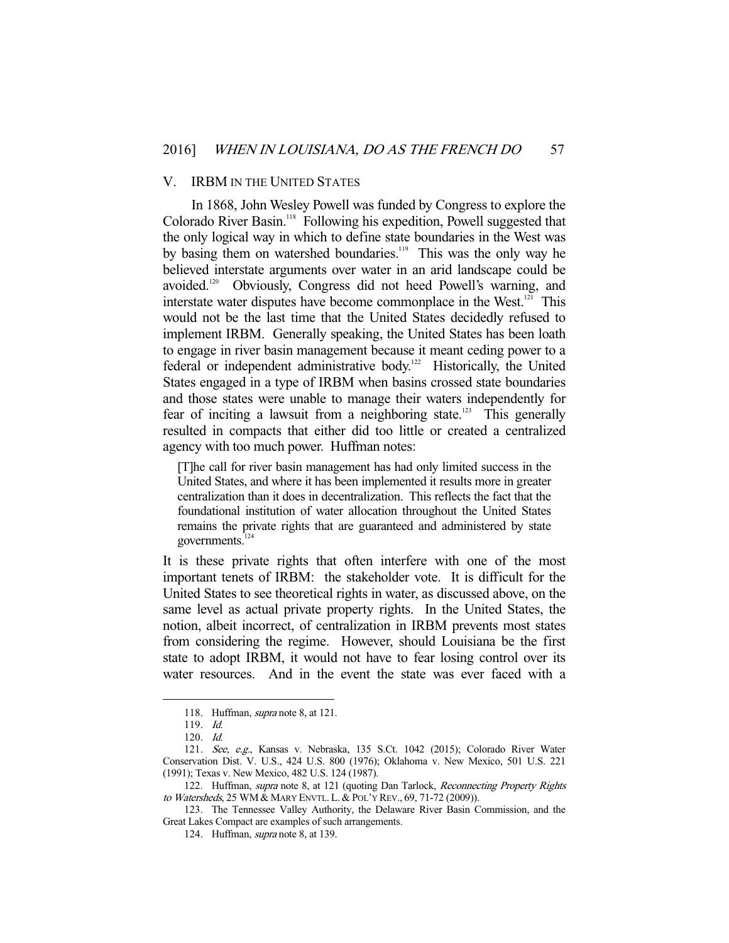#### V. IRBM IN THE UNITED STATES

 In 1868, John Wesley Powell was funded by Congress to explore the Colorado River Basin.118 Following his expedition, Powell suggested that the only logical way in which to define state boundaries in the West was by basing them on watershed boundaries.<sup>119</sup> This was the only way he believed interstate arguments over water in an arid landscape could be avoided.120 Obviously, Congress did not heed Powell's warning, and interstate water disputes have become commonplace in the West.<sup>121</sup> This would not be the last time that the United States decidedly refused to implement IRBM. Generally speaking, the United States has been loath to engage in river basin management because it meant ceding power to a federal or independent administrative body.<sup>122</sup> Historically, the United States engaged in a type of IRBM when basins crossed state boundaries and those states were unable to manage their waters independently for fear of inciting a lawsuit from a neighboring state.<sup>123</sup> This generally resulted in compacts that either did too little or created a centralized agency with too much power. Huffman notes:

[T]he call for river basin management has had only limited success in the United States, and where it has been implemented it results more in greater centralization than it does in decentralization. This reflects the fact that the foundational institution of water allocation throughout the United States remains the private rights that are guaranteed and administered by state governments. $124$ 

It is these private rights that often interfere with one of the most important tenets of IRBM: the stakeholder vote. It is difficult for the United States to see theoretical rights in water, as discussed above, on the same level as actual private property rights. In the United States, the notion, albeit incorrect, of centralization in IRBM prevents most states from considering the regime. However, should Louisiana be the first state to adopt IRBM, it would not have to fear losing control over its water resources. And in the event the state was ever faced with a

<sup>118.</sup> Huffman, *supra* note 8, at 121.

 <sup>119.</sup> Id.

 <sup>120.</sup> Id.

 <sup>121.</sup> See, e.g., Kansas v. Nebraska, 135 S.Ct. 1042 (2015); Colorado River Water Conservation Dist. V. U.S., 424 U.S. 800 (1976); Oklahoma v. New Mexico, 501 U.S. 221 (1991); Texas v. New Mexico, 482 U.S. 124 (1987).

<sup>122.</sup> Huffman, supra note 8, at 121 (quoting Dan Tarlock, Reconnecting Property Rights to Watersheds, 25 WM & MARY ENVTL. L. & POL'Y REV., 69, 71-72 (2009)).

 <sup>123.</sup> The Tennessee Valley Authority, the Delaware River Basin Commission, and the Great Lakes Compact are examples of such arrangements.

<sup>124.</sup> Huffman, *supra* note 8, at 139.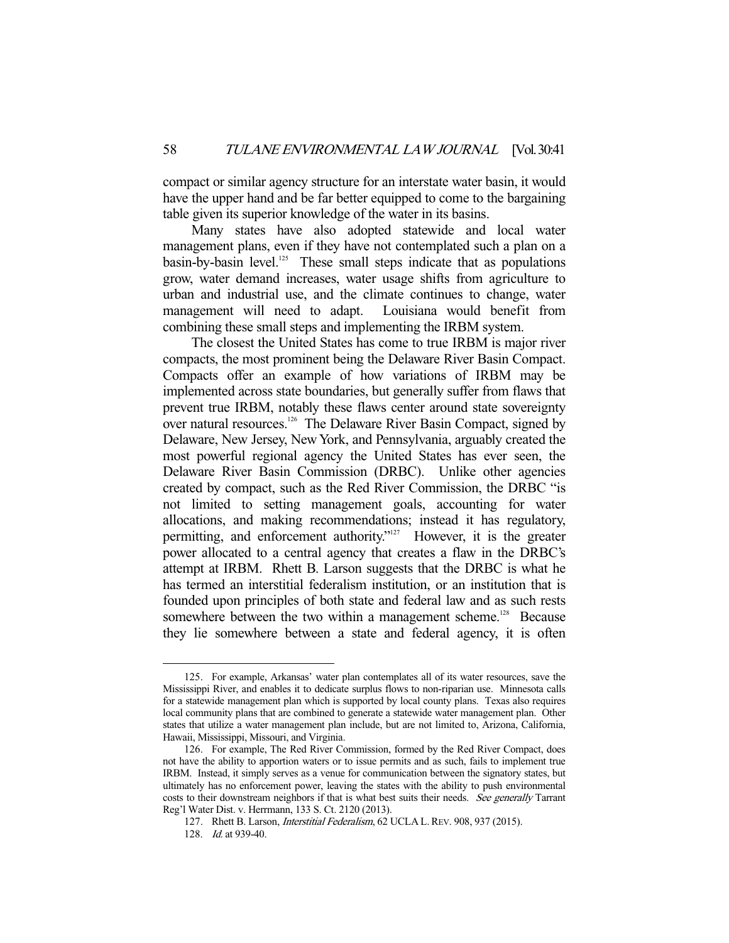compact or similar agency structure for an interstate water basin, it would have the upper hand and be far better equipped to come to the bargaining table given its superior knowledge of the water in its basins.

 Many states have also adopted statewide and local water management plans, even if they have not contemplated such a plan on a  $basin-by-basin level.<sup>125</sup>$  These small steps indicate that as populations grow, water demand increases, water usage shifts from agriculture to urban and industrial use, and the climate continues to change, water management will need to adapt. Louisiana would benefit from combining these small steps and implementing the IRBM system.

 The closest the United States has come to true IRBM is major river compacts, the most prominent being the Delaware River Basin Compact. Compacts offer an example of how variations of IRBM may be implemented across state boundaries, but generally suffer from flaws that prevent true IRBM, notably these flaws center around state sovereignty over natural resources.<sup>126</sup> The Delaware River Basin Compact, signed by Delaware, New Jersey, New York, and Pennsylvania, arguably created the most powerful regional agency the United States has ever seen, the Delaware River Basin Commission (DRBC). Unlike other agencies created by compact, such as the Red River Commission, the DRBC "is not limited to setting management goals, accounting for water allocations, and making recommendations; instead it has regulatory, permitting, and enforcement authority."<sup>127</sup> However, it is the greater power allocated to a central agency that creates a flaw in the DRBC's attempt at IRBM. Rhett B. Larson suggests that the DRBC is what he has termed an interstitial federalism institution, or an institution that is founded upon principles of both state and federal law and as such rests somewhere between the two within a management scheme.<sup>128</sup> Because they lie somewhere between a state and federal agency, it is often

 <sup>125.</sup> For example, Arkansas' water plan contemplates all of its water resources, save the Mississippi River, and enables it to dedicate surplus flows to non-riparian use. Minnesota calls for a statewide management plan which is supported by local county plans. Texas also requires local community plans that are combined to generate a statewide water management plan. Other states that utilize a water management plan include, but are not limited to, Arizona, California, Hawaii, Mississippi, Missouri, and Virginia.

 <sup>126.</sup> For example, The Red River Commission, formed by the Red River Compact, does not have the ability to apportion waters or to issue permits and as such, fails to implement true IRBM. Instead, it simply serves as a venue for communication between the signatory states, but ultimately has no enforcement power, leaving the states with the ability to push environmental costs to their downstream neighbors if that is what best suits their needs. See generally Tarrant Reg'l Water Dist. v. Herrmann, 133 S. Ct. 2120 (2013).

 <sup>127.</sup> Rhett B. Larson, Interstitial Federalism, 62 UCLA L.REV. 908, 937 (2015).

 <sup>128.</sup> Id. at 939-40.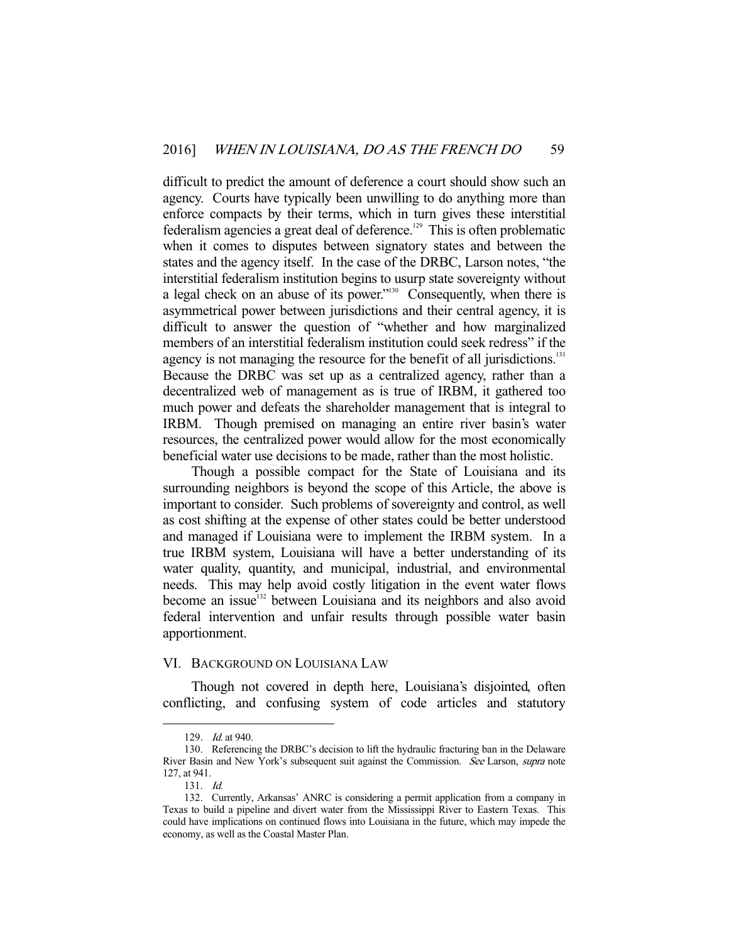difficult to predict the amount of deference a court should show such an agency. Courts have typically been unwilling to do anything more than enforce compacts by their terms, which in turn gives these interstitial federalism agencies a great deal of deference.<sup>129</sup> This is often problematic when it comes to disputes between signatory states and between the states and the agency itself. In the case of the DRBC, Larson notes, "the interstitial federalism institution begins to usurp state sovereignty without a legal check on an abuse of its power."130 Consequently, when there is asymmetrical power between jurisdictions and their central agency, it is difficult to answer the question of "whether and how marginalized members of an interstitial federalism institution could seek redress" if the agency is not managing the resource for the benefit of all jurisdictions.<sup>131</sup> Because the DRBC was set up as a centralized agency, rather than a decentralized web of management as is true of IRBM, it gathered too much power and defeats the shareholder management that is integral to IRBM. Though premised on managing an entire river basin's water resources, the centralized power would allow for the most economically beneficial water use decisions to be made, rather than the most holistic.

 Though a possible compact for the State of Louisiana and its surrounding neighbors is beyond the scope of this Article, the above is important to consider. Such problems of sovereignty and control, as well as cost shifting at the expense of other states could be better understood and managed if Louisiana were to implement the IRBM system. In a true IRBM system, Louisiana will have a better understanding of its water quality, quantity, and municipal, industrial, and environmental needs. This may help avoid costly litigation in the event water flows become an issue<sup>132</sup> between Louisiana and its neighbors and also avoid federal intervention and unfair results through possible water basin apportionment.

#### VI. BACKGROUND ON LOUISIANA LAW

 Though not covered in depth here, Louisiana's disjointed, often conflicting, and confusing system of code articles and statutory

 <sup>129.</sup> Id. at 940.

 <sup>130.</sup> Referencing the DRBC's decision to lift the hydraulic fracturing ban in the Delaware River Basin and New York's subsequent suit against the Commission. See Larson, supra note 127, at 941.

 <sup>131.</sup> Id.

 <sup>132.</sup> Currently, Arkansas' ANRC is considering a permit application from a company in Texas to build a pipeline and divert water from the Mississippi River to Eastern Texas. This could have implications on continued flows into Louisiana in the future, which may impede the economy, as well as the Coastal Master Plan.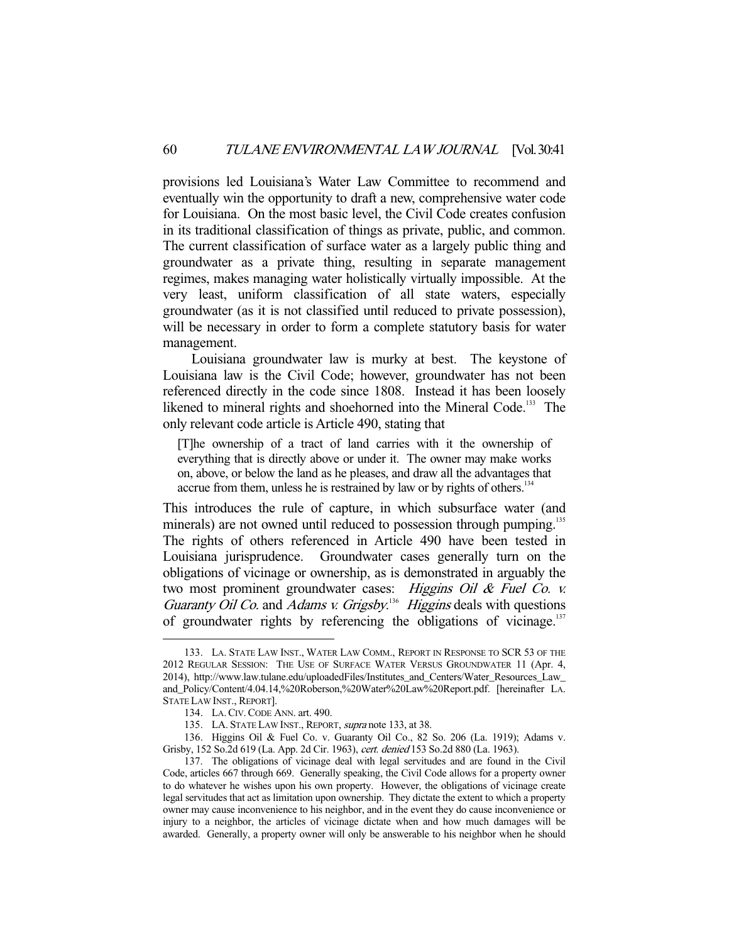provisions led Louisiana's Water Law Committee to recommend and eventually win the opportunity to draft a new, comprehensive water code for Louisiana. On the most basic level, the Civil Code creates confusion in its traditional classification of things as private, public, and common. The current classification of surface water as a largely public thing and groundwater as a private thing, resulting in separate management regimes, makes managing water holistically virtually impossible. At the very least, uniform classification of all state waters, especially groundwater (as it is not classified until reduced to private possession), will be necessary in order to form a complete statutory basis for water management.

 Louisiana groundwater law is murky at best. The keystone of Louisiana law is the Civil Code; however, groundwater has not been referenced directly in the code since 1808. Instead it has been loosely likened to mineral rights and shoehorned into the Mineral Code.<sup>133</sup> The only relevant code article is Article 490, stating that

[T]he ownership of a tract of land carries with it the ownership of everything that is directly above or under it. The owner may make works on, above, or below the land as he pleases, and draw all the advantages that accrue from them, unless he is restrained by law or by rights of others. $134$ 

This introduces the rule of capture, in which subsurface water (and minerals) are not owned until reduced to possession through pumping.<sup>135</sup> The rights of others referenced in Article 490 have been tested in Louisiana jurisprudence. Groundwater cases generally turn on the obligations of vicinage or ownership, as is demonstrated in arguably the two most prominent groundwater cases: Higgins Oil & Fuel Co. v. Guaranty Oil Co. and Adams v. Grigsby.<sup>136</sup> Higgins deals with questions of groundwater rights by referencing the obligations of vicinage.<sup>137</sup>

-

 136. Higgins Oil & Fuel Co. v. Guaranty Oil Co., 82 So. 206 (La. 1919); Adams v. Grisby, 152 So.2d 619 (La. App. 2d Cir. 1963), cert. denied 153 So.2d 880 (La. 1963).

 <sup>133.</sup> LA. STATE LAW INST., WATER LAW COMM., REPORT IN RESPONSE TO SCR 53 OF THE 2012 REGULAR SESSION: THE USE OF SURFACE WATER VERSUS GROUNDWATER 11 (Apr. 4, 2014), http://www.law.tulane.edu/uploadedFiles/Institutes\_and\_Centers/Water\_Resources\_Law\_ and\_Policy/Content/4.04.14,%20Roberson,%20Water%20Law%20Report.pdf. [hereinafter LA. STATE LAW INST., REPORT].

 <sup>134.</sup> LA.CIV.CODE ANN. art. 490.

<sup>135.</sup> LA. STATE LAW INST., REPORT, supra note 133, at 38.

 <sup>137.</sup> The obligations of vicinage deal with legal servitudes and are found in the Civil Code, articles 667 through 669. Generally speaking, the Civil Code allows for a property owner to do whatever he wishes upon his own property. However, the obligations of vicinage create legal servitudes that act as limitation upon ownership. They dictate the extent to which a property owner may cause inconvenience to his neighbor, and in the event they do cause inconvenience or injury to a neighbor, the articles of vicinage dictate when and how much damages will be awarded. Generally, a property owner will only be answerable to his neighbor when he should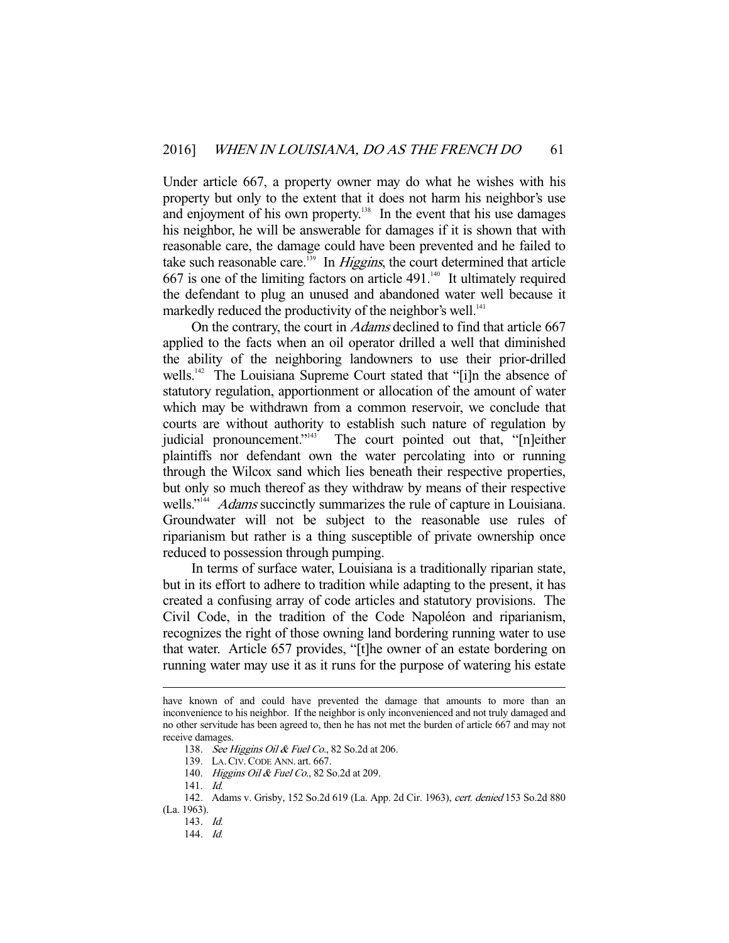Under article 667, a property owner may do what he wishes with his property but only to the extent that it does not harm his neighbor's use and enjoyment of his own property. $138$  In the event that his use damages his neighbor, he will be answerable for damages if it is shown that with reasonable care, the damage could have been prevented and he failed to take such reasonable care.<sup>139</sup> In *Higgins*, the court determined that article 667 is one of the limiting factors on article  $491<sup>140</sup>$  It ultimately required the defendant to plug an unused and abandoned water well because it markedly reduced the productivity of the neighbor's well.<sup>141</sup>

On the contrary, the court in *Adams* declined to find that article 667 applied to the facts when an oil operator drilled a well that diminished the ability of the neighboring landowners to use their prior-drilled wells.<sup>142</sup> The Louisiana Supreme Court stated that "[i]n the absence of statutory regulation, apportionment or allocation of the amount of water which may be withdrawn from a common reservoir, we conclude that courts are without authority to establish such nature of regulation by judicial pronouncement."<sup>143</sup> The court pointed out that, "[n]either plaintiffs nor defendant own the water percolating into or running through the Wilcox sand which lies beneath their respective properties, but only so much thereof as they withdraw by means of their respective wells."<sup>144</sup> Adams succinctly summarizes the rule of capture in Louisiana. Groundwater will not be subject to the reasonable use rules of riparianism but rather is a thing susceptible of private ownership once reduced to possession through pumping.

 In terms of surface water, Louisiana is a traditionally riparian state, but in its effort to adhere to tradition while adapting to the present, it has created a confusing array of code articles and statutory provisions. The Civil Code, in the tradition of the Code Napoléon and riparianism, recognizes the right of those owning land bordering running water to use that water. Article 657 provides, "[t]he owner of an estate bordering on running water may use it as it runs for the purpose of watering his estate

have known of and could have prevented the damage that amounts to more than an inconvenience to his neighbor. If the neighbor is only inconvenienced and not truly damaged and no other servitude has been agreed to, then he has not met the burden of article 667 and may not receive damages.

<sup>138.</sup> See Higgins Oil & Fuel Co., 82 So.2d at 206.

 <sup>139.</sup> LA.CIV.CODE ANN. art. 667.

<sup>140.</sup> Higgins Oil & Fuel Co., 82 So.2d at 209.

 <sup>141.</sup> Id.

 <sup>142.</sup> Adams v. Grisby, 152 So.2d 619 (La. App. 2d Cir. 1963), cert. denied 153 So.2d 880 (La. 1963).

 <sup>143.</sup> Id.

 <sup>144.</sup> Id.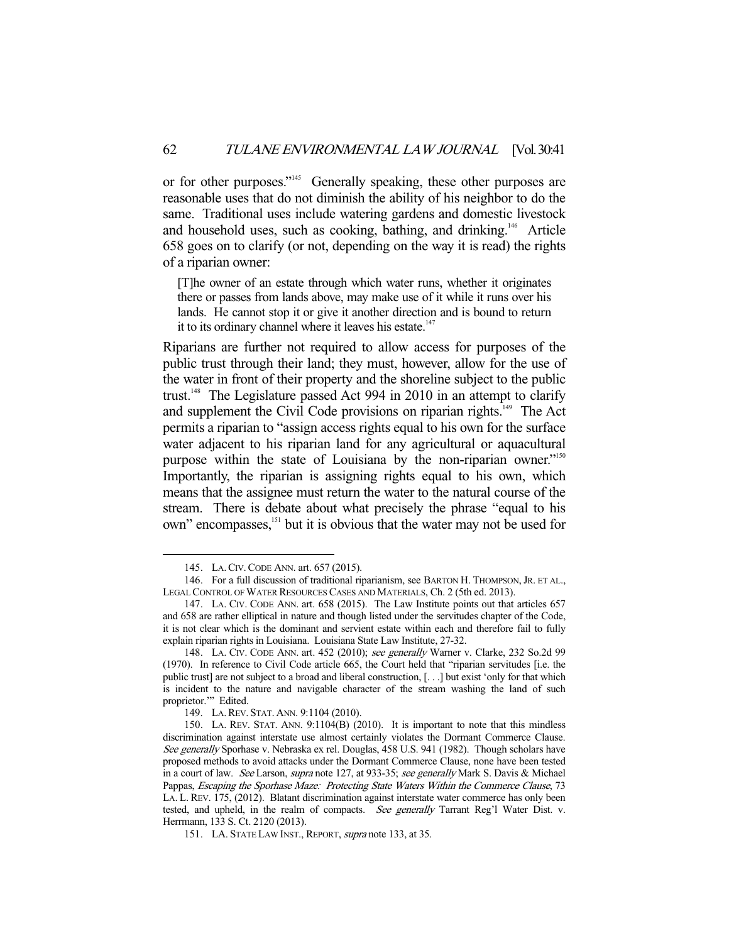or for other purposes."145 Generally speaking, these other purposes are reasonable uses that do not diminish the ability of his neighbor to do the same. Traditional uses include watering gardens and domestic livestock and household uses, such as cooking, bathing, and drinking.<sup>146</sup> Article 658 goes on to clarify (or not, depending on the way it is read) the rights of a riparian owner:

[T]he owner of an estate through which water runs, whether it originates there or passes from lands above, may make use of it while it runs over his lands. He cannot stop it or give it another direction and is bound to return it to its ordinary channel where it leaves his estate.<sup>147</sup>

Riparians are further not required to allow access for purposes of the public trust through their land; they must, however, allow for the use of the water in front of their property and the shoreline subject to the public trust.<sup>148</sup> The Legislature passed Act 994 in 2010 in an attempt to clarify and supplement the Civil Code provisions on riparian rights.<sup>149</sup> The Act permits a riparian to "assign access rights equal to his own for the surface water adjacent to his riparian land for any agricultural or aquacultural purpose within the state of Louisiana by the non-riparian owner."<sup>150</sup> Importantly, the riparian is assigning rights equal to his own, which means that the assignee must return the water to the natural course of the stream. There is debate about what precisely the phrase "equal to his own" encompasses,<sup>151</sup> but it is obvious that the water may not be used for

 <sup>145.</sup> LA.CIV.CODE ANN. art. 657 (2015).

 <sup>146.</sup> For a full discussion of traditional riparianism, see BARTON H. THOMPSON, JR. ET AL., LEGAL CONTROL OF WATER RESOURCES CASES AND MATERIALS, Ch. 2 (5th ed. 2013).

 <sup>147.</sup> LA. CIV. CODE ANN. art. 658 (2015). The Law Institute points out that articles 657 and 658 are rather elliptical in nature and though listed under the servitudes chapter of the Code, it is not clear which is the dominant and servient estate within each and therefore fail to fully explain riparian rights in Louisiana. Louisiana State Law Institute, 27-32.

 <sup>148.</sup> LA. CIV. CODE ANN. art. 452 (2010); see generally Warner v. Clarke, 232 So.2d 99 (1970). In reference to Civil Code article 665, the Court held that "riparian servitudes [i.e. the public trust] are not subject to a broad and liberal construction, [. . .] but exist 'only for that which is incident to the nature and navigable character of the stream washing the land of such proprietor." Edited.

 <sup>149.</sup> LA.REV. STAT. ANN. 9:1104 (2010).

 <sup>150.</sup> LA. REV. STAT. ANN. 9:1104(B) (2010). It is important to note that this mindless discrimination against interstate use almost certainly violates the Dormant Commerce Clause. See generally Sporhase v. Nebraska ex rel. Douglas, 458 U.S. 941 (1982). Though scholars have proposed methods to avoid attacks under the Dormant Commerce Clause, none have been tested in a court of law. See Larson, supra note 127, at 933-35; see generally Mark S. Davis & Michael Pappas, Escaping the Sporhase Maze: Protecting State Waters Within the Commerce Clause, 73 LA. L. REV. 175, (2012). Blatant discrimination against interstate water commerce has only been tested, and upheld, in the realm of compacts. See generally Tarrant Reg'l Water Dist. v. Herrmann, 133 S. Ct. 2120 (2013).

<sup>151.</sup> LA. STATE LAW INST., REPORT, supra note 133, at 35.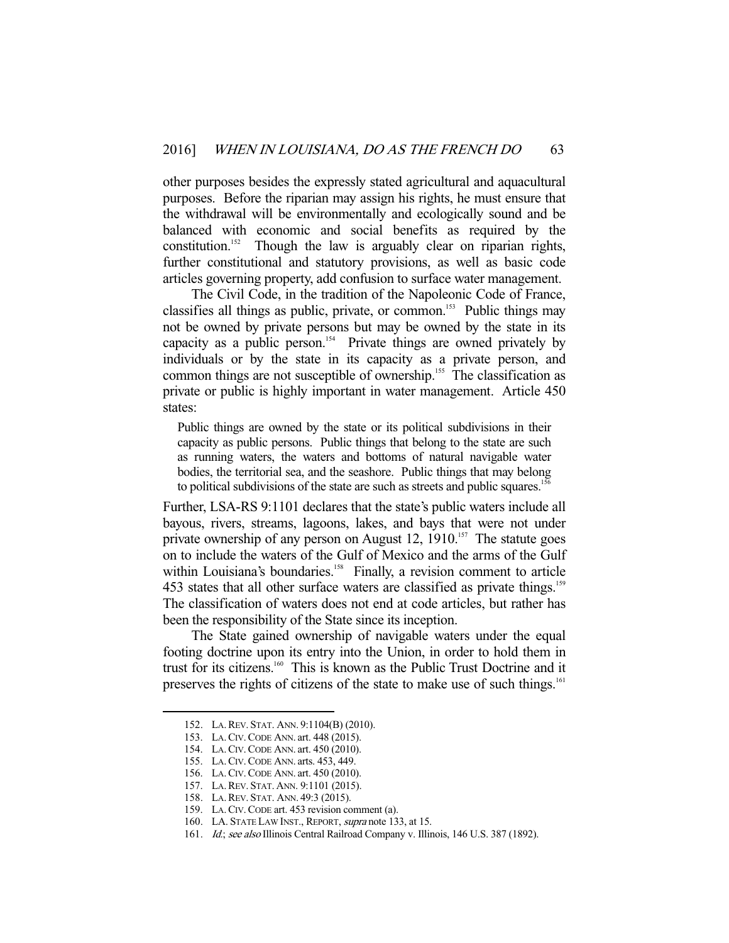other purposes besides the expressly stated agricultural and aquacultural purposes. Before the riparian may assign his rights, he must ensure that the withdrawal will be environmentally and ecologically sound and be balanced with economic and social benefits as required by the constitution.<sup>152</sup> Though the law is arguably clear on riparian rights, further constitutional and statutory provisions, as well as basic code articles governing property, add confusion to surface water management.

 The Civil Code, in the tradition of the Napoleonic Code of France, classifies all things as public, private, or common.<sup>153</sup> Public things may not be owned by private persons but may be owned by the state in its capacity as a public person.<sup>154</sup> Private things are owned privately by individuals or by the state in its capacity as a private person, and common things are not susceptible of ownership.<sup>155</sup> The classification as private or public is highly important in water management. Article 450 states:

Public things are owned by the state or its political subdivisions in their capacity as public persons. Public things that belong to the state are such as running waters, the waters and bottoms of natural navigable water bodies, the territorial sea, and the seashore. Public things that may belong to political subdivisions of the state are such as streets and public squares.<sup>1</sup>

Further, LSA-RS 9:1101 declares that the state's public waters include all bayous, rivers, streams, lagoons, lakes, and bays that were not under private ownership of any person on August  $12$ ,  $1910$ .<sup>157</sup> The statute goes on to include the waters of the Gulf of Mexico and the arms of the Gulf within Louisiana's boundaries.<sup>158</sup> Finally, a revision comment to article 453 states that all other surface waters are classified as private things.<sup>159</sup> The classification of waters does not end at code articles, but rather has been the responsibility of the State since its inception.

 The State gained ownership of navigable waters under the equal footing doctrine upon its entry into the Union, in order to hold them in trust for its citizens.<sup>160</sup> This is known as the Public Trust Doctrine and it preserves the rights of citizens of the state to make use of such things.<sup>161</sup>

 <sup>152.</sup> LA.REV. STAT. ANN. 9:1104(B) (2010).

 <sup>153.</sup> LA.CIV.CODE ANN. art. 448 (2015).

 <sup>154.</sup> LA.CIV.CODE ANN. art. 450 (2010).

 <sup>155.</sup> LA.CIV.CODE ANN. arts. 453, 449.

 <sup>156.</sup> LA.CIV.CODE ANN. art. 450 (2010).

 <sup>157.</sup> LA.REV. STAT. ANN. 9:1101 (2015).

 <sup>158.</sup> LA.REV. STAT. ANN. 49:3 (2015).

 <sup>159.</sup> LA.CIV.CODE art. 453 revision comment (a).

 <sup>160.</sup> LA. STATE LAW INST., REPORT, supra note 133, at 15.

<sup>161.</sup> Id.; see also Illinois Central Railroad Company v. Illinois, 146 U.S. 387 (1892).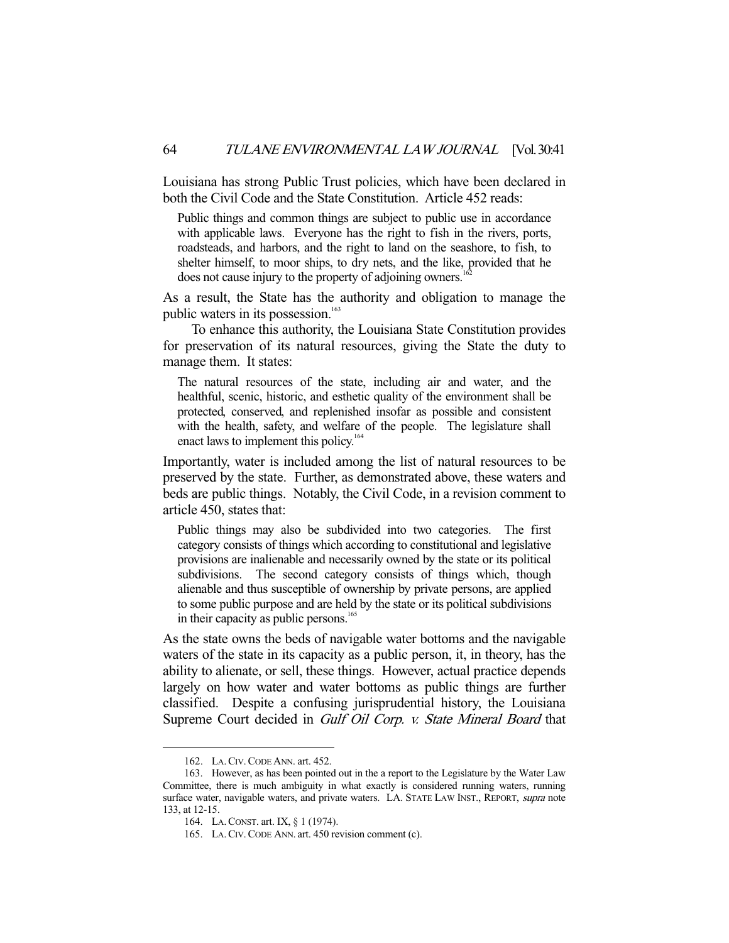Louisiana has strong Public Trust policies, which have been declared in both the Civil Code and the State Constitution. Article 452 reads:

Public things and common things are subject to public use in accordance with applicable laws. Everyone has the right to fish in the rivers, ports, roadsteads, and harbors, and the right to land on the seashore, to fish, to shelter himself, to moor ships, to dry nets, and the like, provided that he does not cause injury to the property of adjoining owners.<sup>1</sup>

As a result, the State has the authority and obligation to manage the public waters in its possession.<sup>163</sup>

 To enhance this authority, the Louisiana State Constitution provides for preservation of its natural resources, giving the State the duty to manage them. It states:

The natural resources of the state, including air and water, and the healthful, scenic, historic, and esthetic quality of the environment shall be protected, conserved, and replenished insofar as possible and consistent with the health, safety, and welfare of the people. The legislature shall enact laws to implement this policy.<sup>164</sup>

Importantly, water is included among the list of natural resources to be preserved by the state. Further, as demonstrated above, these waters and beds are public things. Notably, the Civil Code, in a revision comment to article 450, states that:

Public things may also be subdivided into two categories. The first category consists of things which according to constitutional and legislative provisions are inalienable and necessarily owned by the state or its political subdivisions. The second category consists of things which, though alienable and thus susceptible of ownership by private persons, are applied to some public purpose and are held by the state or its political subdivisions in their capacity as public persons.<sup>165</sup>

As the state owns the beds of navigable water bottoms and the navigable waters of the state in its capacity as a public person, it, in theory, has the ability to alienate, or sell, these things. However, actual practice depends largely on how water and water bottoms as public things are further classified. Despite a confusing jurisprudential history, the Louisiana Supreme Court decided in Gulf Oil Corp. v. State Mineral Board that

 <sup>162.</sup> LA.CIV.CODE ANN. art. 452.

 <sup>163.</sup> However, as has been pointed out in the a report to the Legislature by the Water Law Committee, there is much ambiguity in what exactly is considered running waters, running surface water, navigable waters, and private waters. LA. STATE LAW INST., REPORT, supra note 133, at 12-15.

 <sup>164.</sup> LA.CONST. art. IX, § 1 (1974).

 <sup>165.</sup> LA.CIV.CODE ANN. art. 450 revision comment (c).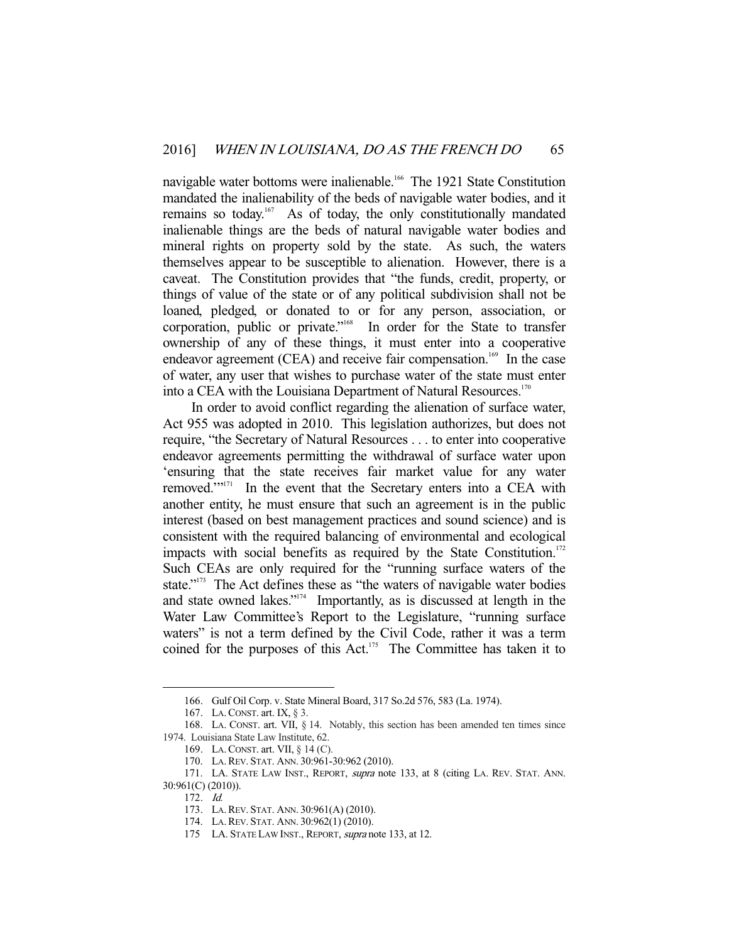navigable water bottoms were inalienable.<sup>166</sup> The 1921 State Constitution mandated the inalienability of the beds of navigable water bodies, and it remains so today.<sup>167</sup> As of today, the only constitutionally mandated inalienable things are the beds of natural navigable water bodies and mineral rights on property sold by the state. As such, the waters themselves appear to be susceptible to alienation. However, there is a caveat. The Constitution provides that "the funds, credit, property, or things of value of the state or of any political subdivision shall not be loaned, pledged, or donated to or for any person, association, or corporation, public or private."168 In order for the State to transfer ownership of any of these things, it must enter into a cooperative endeavor agreement (CEA) and receive fair compensation.<sup>169</sup> In the case of water, any user that wishes to purchase water of the state must enter into a CEA with the Louisiana Department of Natural Resources.<sup>170</sup>

 In order to avoid conflict regarding the alienation of surface water, Act 955 was adopted in 2010. This legislation authorizes, but does not require, "the Secretary of Natural Resources . . . to enter into cooperative endeavor agreements permitting the withdrawal of surface water upon 'ensuring that the state receives fair market value for any water removed."<sup>171</sup> In the event that the Secretary enters into a CEA with another entity, he must ensure that such an agreement is in the public interest (based on best management practices and sound science) and is consistent with the required balancing of environmental and ecological impacts with social benefits as required by the State Constitution.<sup>172</sup> Such CEAs are only required for the "running surface waters of the state."<sup>173</sup> The Act defines these as "the waters of navigable water bodies and state owned lakes."174 Importantly, as is discussed at length in the Water Law Committee's Report to the Legislature, "running surface waters" is not a term defined by the Civil Code, rather it was a term coined for the purposes of this Act.<sup>175</sup> The Committee has taken it to

 <sup>166.</sup> Gulf Oil Corp. v. State Mineral Board, 317 So.2d 576, 583 (La. 1974).

 <sup>167.</sup> LA.CONST. art. IX, § 3.

 <sup>168.</sup> LA. CONST. art. VII, § 14. Notably, this section has been amended ten times since 1974. Louisiana State Law Institute, 62.

 <sup>169.</sup> LA.CONST. art. VII, § 14 (C).

 <sup>170.</sup> LA.REV. STAT. ANN. 30:961-30:962 (2010).

<sup>171.</sup> LA. STATE LAW INST., REPORT, supra note 133, at 8 (citing LA. REV. STAT. ANN. 30:961(C) (2010)).

 <sup>172.</sup> Id.

 <sup>173.</sup> LA.REV. STAT. ANN. 30:961(A) (2010).

 <sup>174.</sup> LA.REV. STAT. ANN. 30:962(1) (2010).

<sup>175</sup> LA. STATE LAW INST., REPORT, *supra* note 133, at 12.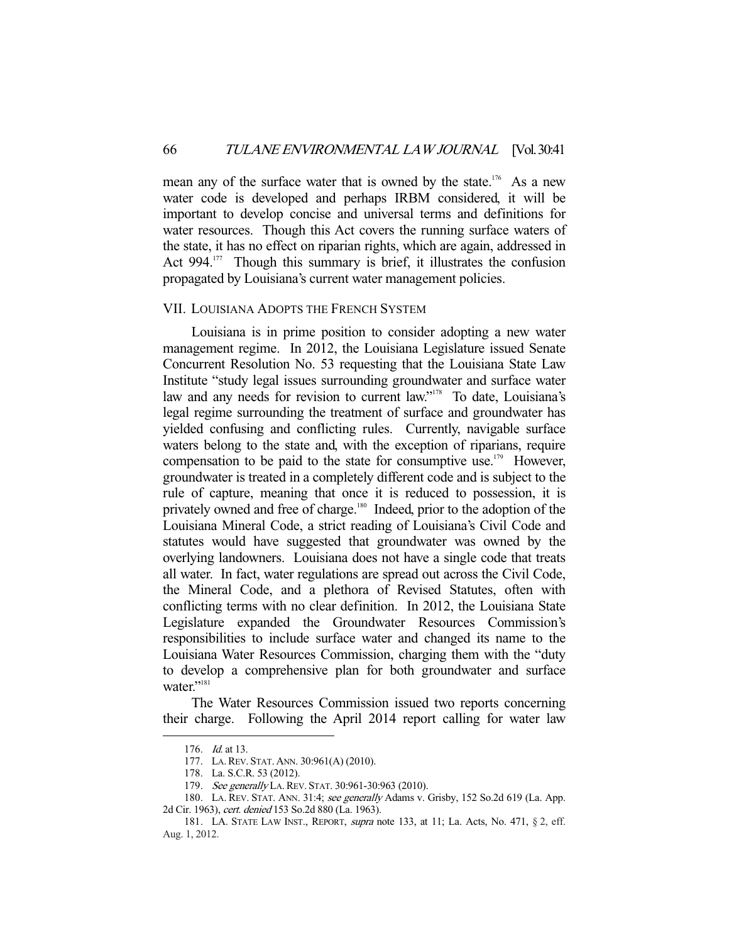mean any of the surface water that is owned by the state.<sup>176</sup> As a new water code is developed and perhaps IRBM considered, it will be important to develop concise and universal terms and definitions for water resources. Though this Act covers the running surface waters of the state, it has no effect on riparian rights, which are again, addressed in Act  $994$ <sup>177</sup> Though this summary is brief, it illustrates the confusion propagated by Louisiana's current water management policies.

#### VII. LOUISIANA ADOPTS THE FRENCH SYSTEM

 Louisiana is in prime position to consider adopting a new water management regime. In 2012, the Louisiana Legislature issued Senate Concurrent Resolution No. 53 requesting that the Louisiana State Law Institute "study legal issues surrounding groundwater and surface water law and any needs for revision to current law."<sup>178</sup> To date, Louisiana's legal regime surrounding the treatment of surface and groundwater has yielded confusing and conflicting rules. Currently, navigable surface waters belong to the state and, with the exception of riparians, require compensation to be paid to the state for consumptive use.<sup>179</sup> However, groundwater is treated in a completely different code and is subject to the rule of capture, meaning that once it is reduced to possession, it is privately owned and free of charge.<sup>180</sup> Indeed, prior to the adoption of the Louisiana Mineral Code, a strict reading of Louisiana's Civil Code and statutes would have suggested that groundwater was owned by the overlying landowners. Louisiana does not have a single code that treats all water. In fact, water regulations are spread out across the Civil Code, the Mineral Code, and a plethora of Revised Statutes, often with conflicting terms with no clear definition. In 2012, the Louisiana State Legislature expanded the Groundwater Resources Commission's responsibilities to include surface water and changed its name to the Louisiana Water Resources Commission, charging them with the "duty to develop a comprehensive plan for both groundwater and surface water."<sup>181</sup>

 The Water Resources Commission issued two reports concerning their charge. Following the April 2014 report calling for water law

<sup>176.</sup> *Id.* at 13.

 <sup>177.</sup> LA.REV. STAT. ANN. 30:961(A) (2010).

 <sup>178.</sup> La. S.C.R. 53 (2012).

<sup>179.</sup> See generally LA. REV. STAT. 30:961-30:963 (2010).

<sup>180.</sup> LA. REV. STAT. ANN. 31:4; see generally Adams v. Grisby, 152 So.2d 619 (La. App. 2d Cir. 1963), cert. denied 153 So.2d 880 (La. 1963).

 <sup>181.</sup> LA. STATE LAW INST., REPORT, supra note 133, at 11; La. Acts, No. 471, § 2, eff. Aug. 1, 2012.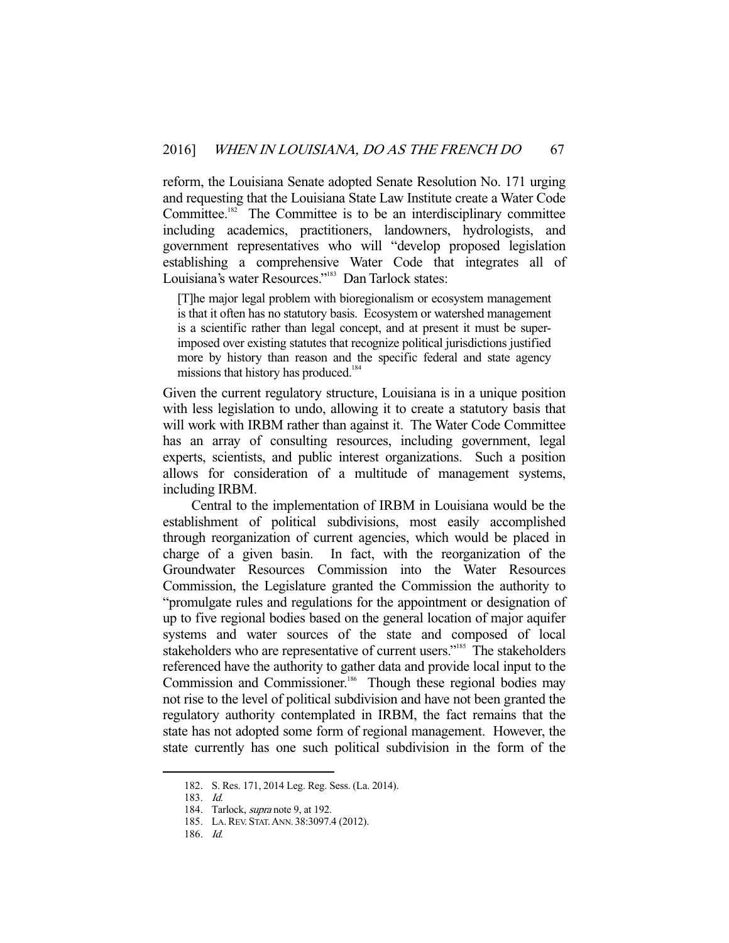reform, the Louisiana Senate adopted Senate Resolution No. 171 urging and requesting that the Louisiana State Law Institute create a Water Code Committee.<sup>182</sup> The Committee is to be an interdisciplinary committee including academics, practitioners, landowners, hydrologists, and government representatives who will "develop proposed legislation establishing a comprehensive Water Code that integrates all of Louisiana's water Resources."183 Dan Tarlock states:

[T]he major legal problem with bioregionalism or ecosystem management is that it often has no statutory basis. Ecosystem or watershed management is a scientific rather than legal concept, and at present it must be superimposed over existing statutes that recognize political jurisdictions justified more by history than reason and the specific federal and state agency missions that history has produced.<sup>184</sup>

Given the current regulatory structure, Louisiana is in a unique position with less legislation to undo, allowing it to create a statutory basis that will work with IRBM rather than against it. The Water Code Committee has an array of consulting resources, including government, legal experts, scientists, and public interest organizations. Such a position allows for consideration of a multitude of management systems, including IRBM.

 Central to the implementation of IRBM in Louisiana would be the establishment of political subdivisions, most easily accomplished through reorganization of current agencies, which would be placed in charge of a given basin. In fact, with the reorganization of the In fact, with the reorganization of the Groundwater Resources Commission into the Water Resources Commission, the Legislature granted the Commission the authority to "promulgate rules and regulations for the appointment or designation of up to five regional bodies based on the general location of major aquifer systems and water sources of the state and composed of local stakeholders who are representative of current users."<sup>185</sup> The stakeholders referenced have the authority to gather data and provide local input to the Commission and Commissioner.<sup>186</sup> Though these regional bodies may not rise to the level of political subdivision and have not been granted the regulatory authority contemplated in IRBM, the fact remains that the state has not adopted some form of regional management. However, the state currently has one such political subdivision in the form of the

 <sup>182.</sup> S. Res. 171, 2014 Leg. Reg. Sess. (La. 2014).

 <sup>183.</sup> Id.

<sup>184.</sup> Tarlock, *supra* note 9, at 192.

 <sup>185.</sup> LA.REV. STAT.ANN. 38:3097.4 (2012).

 <sup>186.</sup> Id.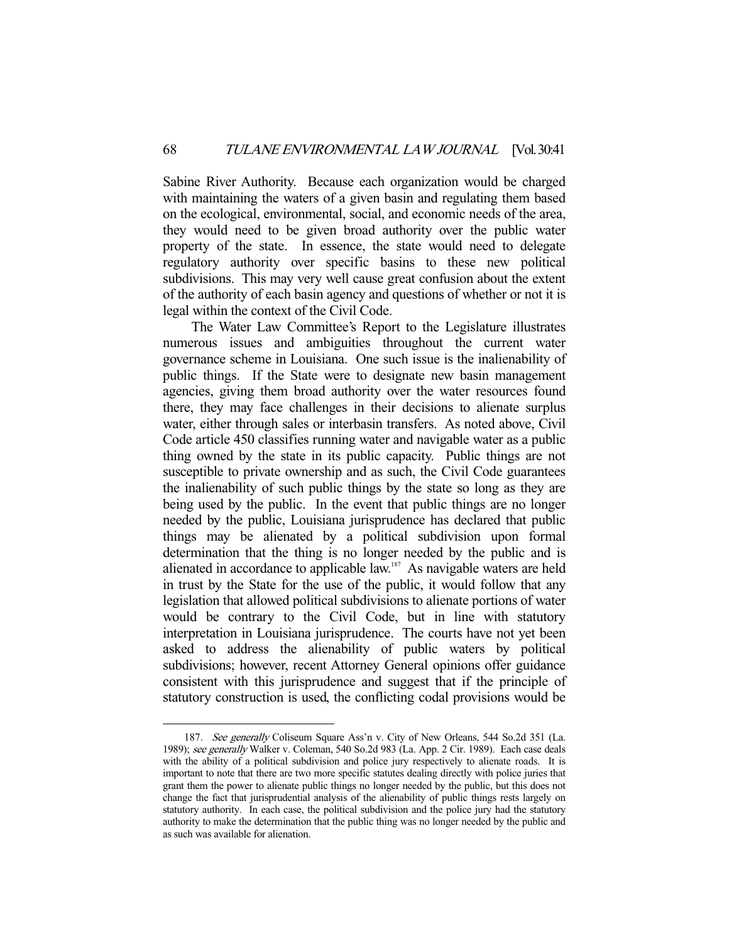Sabine River Authority. Because each organization would be charged with maintaining the waters of a given basin and regulating them based on the ecological, environmental, social, and economic needs of the area, they would need to be given broad authority over the public water property of the state. In essence, the state would need to delegate regulatory authority over specific basins to these new political subdivisions. This may very well cause great confusion about the extent of the authority of each basin agency and questions of whether or not it is legal within the context of the Civil Code.

 The Water Law Committee's Report to the Legislature illustrates numerous issues and ambiguities throughout the current water governance scheme in Louisiana. One such issue is the inalienability of public things. If the State were to designate new basin management agencies, giving them broad authority over the water resources found there, they may face challenges in their decisions to alienate surplus water, either through sales or interbasin transfers. As noted above, Civil Code article 450 classifies running water and navigable water as a public thing owned by the state in its public capacity. Public things are not susceptible to private ownership and as such, the Civil Code guarantees the inalienability of such public things by the state so long as they are being used by the public. In the event that public things are no longer needed by the public, Louisiana jurisprudence has declared that public things may be alienated by a political subdivision upon formal determination that the thing is no longer needed by the public and is alienated in accordance to applicable law.<sup>187</sup> As navigable waters are held in trust by the State for the use of the public, it would follow that any legislation that allowed political subdivisions to alienate portions of water would be contrary to the Civil Code, but in line with statutory interpretation in Louisiana jurisprudence. The courts have not yet been asked to address the alienability of public waters by political subdivisions; however, recent Attorney General opinions offer guidance consistent with this jurisprudence and suggest that if the principle of statutory construction is used, the conflicting codal provisions would be

 <sup>187.</sup> See generally Coliseum Square Ass'n v. City of New Orleans, 544 So.2d 351 (La. 1989); see generally Walker v. Coleman, 540 So.2d 983 (La. App. 2 Cir. 1989). Each case deals with the ability of a political subdivision and police jury respectively to alienate roads. It is important to note that there are two more specific statutes dealing directly with police juries that grant them the power to alienate public things no longer needed by the public, but this does not change the fact that jurisprudential analysis of the alienability of public things rests largely on statutory authority. In each case, the political subdivision and the police jury had the statutory authority to make the determination that the public thing was no longer needed by the public and as such was available for alienation.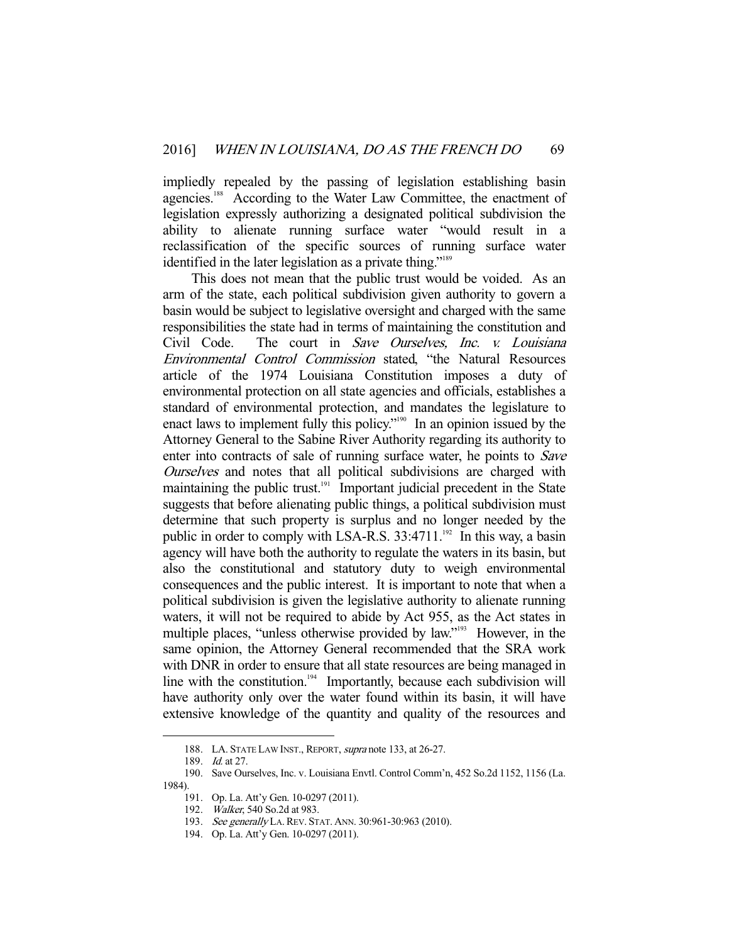impliedly repealed by the passing of legislation establishing basin agencies.<sup>188</sup> According to the Water Law Committee, the enactment of legislation expressly authorizing a designated political subdivision the ability to alienate running surface water "would result in a reclassification of the specific sources of running surface water identified in the later legislation as a private thing."<sup>189</sup>

 This does not mean that the public trust would be voided. As an arm of the state, each political subdivision given authority to govern a basin would be subject to legislative oversight and charged with the same responsibilities the state had in terms of maintaining the constitution and Civil Code. The court in Save Ourselves, Inc. v. Louisiana Environmental Control Commission stated, "the Natural Resources article of the 1974 Louisiana Constitution imposes a duty of environmental protection on all state agencies and officials, establishes a standard of environmental protection, and mandates the legislature to enact laws to implement fully this policy."<sup>190</sup> In an opinion issued by the Attorney General to the Sabine River Authority regarding its authority to enter into contracts of sale of running surface water, he points to Save Ourselves and notes that all political subdivisions are charged with maintaining the public trust.<sup>191</sup> Important judicial precedent in the State suggests that before alienating public things, a political subdivision must determine that such property is surplus and no longer needed by the public in order to comply with LSA-R.S.  $33:4711$ .<sup>192</sup> In this way, a basin agency will have both the authority to regulate the waters in its basin, but also the constitutional and statutory duty to weigh environmental consequences and the public interest. It is important to note that when a political subdivision is given the legislative authority to alienate running waters, it will not be required to abide by Act 955, as the Act states in multiple places, "unless otherwise provided by law."<sup>193</sup> However, in the same opinion, the Attorney General recommended that the SRA work with DNR in order to ensure that all state resources are being managed in line with the constitution.<sup>194</sup> Importantly, because each subdivision will have authority only over the water found within its basin, it will have extensive knowledge of the quantity and quality of the resources and

<sup>188.</sup> LA. STATE LAW INST., REPORT, *supra* note 133, at 26-27.

<sup>189.</sup> *Id.* at 27.

 <sup>190.</sup> Save Ourselves, Inc. v. Louisiana Envtl. Control Comm'n, 452 So.2d 1152, 1156 (La. 1984).

 <sup>191.</sup> Op. La. Att'y Gen. 10-0297 (2011).

 <sup>192.</sup> Walker, 540 So.2d at 983.

 <sup>193.</sup> See generally LA.REV. STAT. ANN. 30:961-30:963 (2010).

 <sup>194.</sup> Op. La. Att'y Gen. 10-0297 (2011).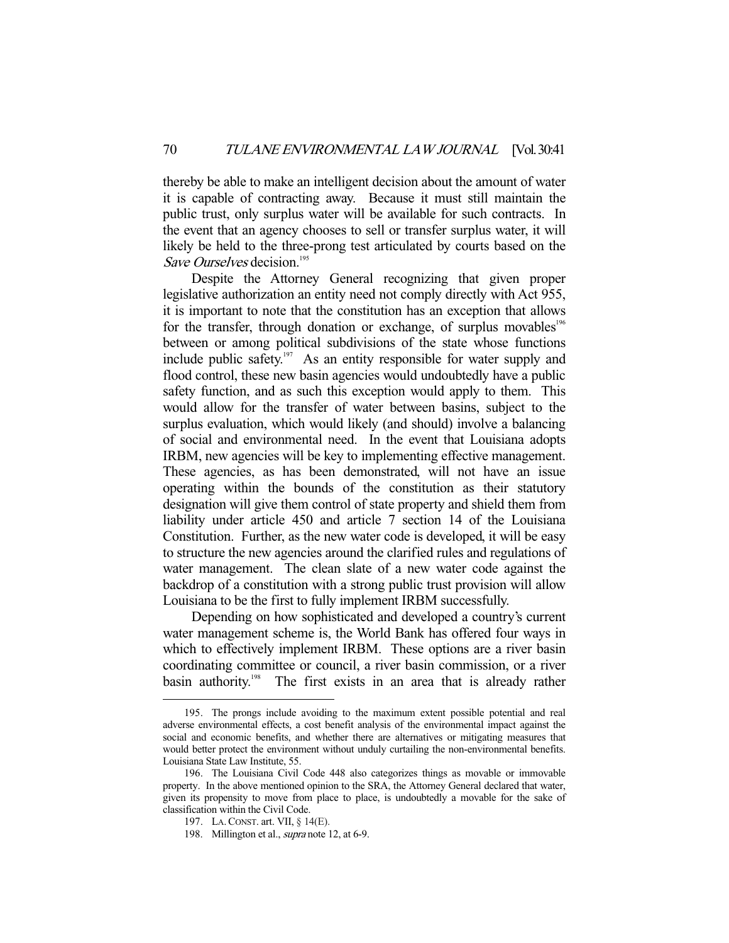thereby be able to make an intelligent decision about the amount of water it is capable of contracting away. Because it must still maintain the public trust, only surplus water will be available for such contracts. In the event that an agency chooses to sell or transfer surplus water, it will likely be held to the three-prong test articulated by courts based on the Save Ourselves decision.<sup>195</sup>

 Despite the Attorney General recognizing that given proper legislative authorization an entity need not comply directly with Act 955, it is important to note that the constitution has an exception that allows for the transfer, through donation or exchange, of surplus movables<sup>196</sup> between or among political subdivisions of the state whose functions include public safety.<sup>197</sup> As an entity responsible for water supply and flood control, these new basin agencies would undoubtedly have a public safety function, and as such this exception would apply to them. This would allow for the transfer of water between basins, subject to the surplus evaluation, which would likely (and should) involve a balancing of social and environmental need. In the event that Louisiana adopts IRBM, new agencies will be key to implementing effective management. These agencies, as has been demonstrated, will not have an issue operating within the bounds of the constitution as their statutory designation will give them control of state property and shield them from liability under article 450 and article 7 section 14 of the Louisiana Constitution. Further, as the new water code is developed, it will be easy to structure the new agencies around the clarified rules and regulations of water management. The clean slate of a new water code against the backdrop of a constitution with a strong public trust provision will allow Louisiana to be the first to fully implement IRBM successfully.

 Depending on how sophisticated and developed a country's current water management scheme is, the World Bank has offered four ways in which to effectively implement IRBM. These options are a river basin coordinating committee or council, a river basin commission, or a river basin authority.<sup>198</sup> The first exists in an area that is already rather

 <sup>195.</sup> The prongs include avoiding to the maximum extent possible potential and real adverse environmental effects, a cost benefit analysis of the environmental impact against the social and economic benefits, and whether there are alternatives or mitigating measures that would better protect the environment without unduly curtailing the non-environmental benefits. Louisiana State Law Institute, 55.

 <sup>196.</sup> The Louisiana Civil Code 448 also categorizes things as movable or immovable property. In the above mentioned opinion to the SRA, the Attorney General declared that water, given its propensity to move from place to place, is undoubtedly a movable for the sake of classification within the Civil Code.

 <sup>197.</sup> LA.CONST. art. VII, § 14(E).

 <sup>198.</sup> Millington et al., supra note 12, at 6-9.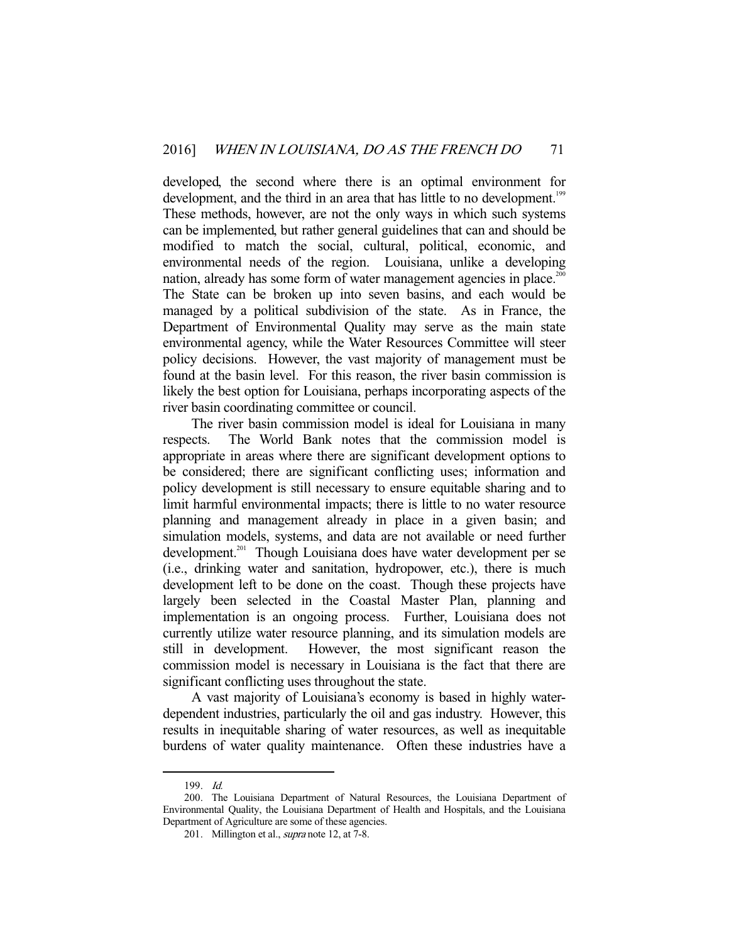developed, the second where there is an optimal environment for development, and the third in an area that has little to no development.<sup>199</sup> These methods, however, are not the only ways in which such systems can be implemented, but rather general guidelines that can and should be modified to match the social, cultural, political, economic, and environmental needs of the region. Louisiana, unlike a developing nation, already has some form of water management agencies in place.<sup>200</sup> The State can be broken up into seven basins, and each would be managed by a political subdivision of the state. As in France, the Department of Environmental Quality may serve as the main state environmental agency, while the Water Resources Committee will steer policy decisions. However, the vast majority of management must be found at the basin level. For this reason, the river basin commission is likely the best option for Louisiana, perhaps incorporating aspects of the river basin coordinating committee or council.

 The river basin commission model is ideal for Louisiana in many respects. The World Bank notes that the commission model is appropriate in areas where there are significant development options to be considered; there are significant conflicting uses; information and policy development is still necessary to ensure equitable sharing and to limit harmful environmental impacts; there is little to no water resource planning and management already in place in a given basin; and simulation models, systems, and data are not available or need further development.<sup>201</sup> Though Louisiana does have water development per se (i.e., drinking water and sanitation, hydropower, etc.), there is much development left to be done on the coast. Though these projects have largely been selected in the Coastal Master Plan, planning and implementation is an ongoing process. Further, Louisiana does not currently utilize water resource planning, and its simulation models are still in development. However, the most significant reason the commission model is necessary in Louisiana is the fact that there are significant conflicting uses throughout the state.

 A vast majority of Louisiana's economy is based in highly waterdependent industries, particularly the oil and gas industry. However, this results in inequitable sharing of water resources, as well as inequitable burdens of water quality maintenance. Often these industries have a

 <sup>199.</sup> Id.

 <sup>200.</sup> The Louisiana Department of Natural Resources, the Louisiana Department of Environmental Quality, the Louisiana Department of Health and Hospitals, and the Louisiana Department of Agriculture are some of these agencies.

<sup>201.</sup> Millington et al., *supra* note 12, at 7-8.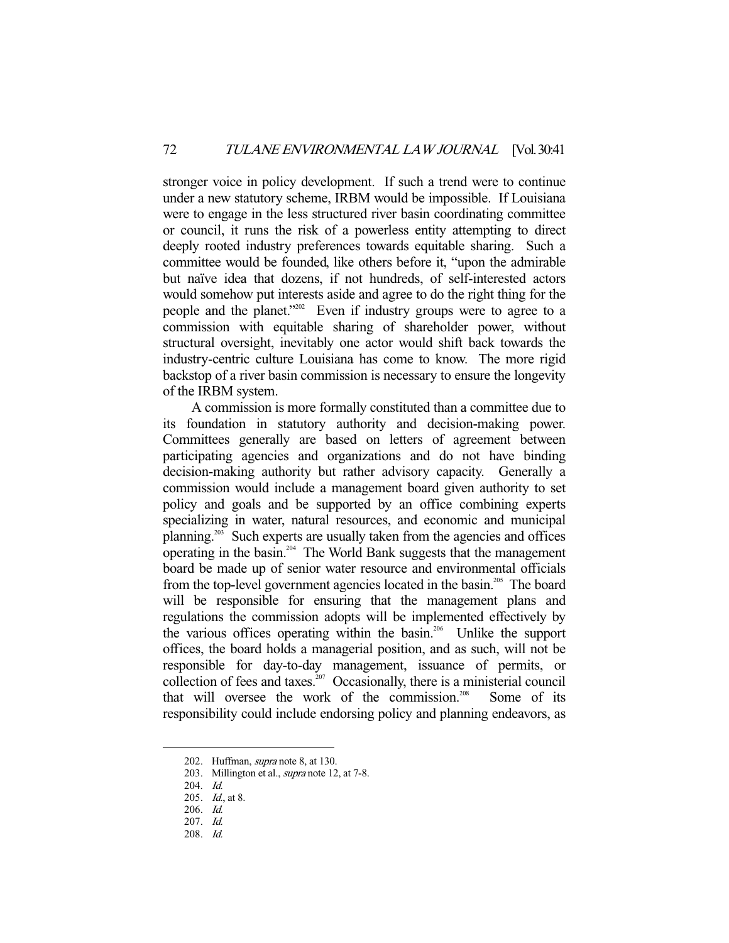stronger voice in policy development. If such a trend were to continue under a new statutory scheme, IRBM would be impossible. If Louisiana were to engage in the less structured river basin coordinating committee or council, it runs the risk of a powerless entity attempting to direct deeply rooted industry preferences towards equitable sharing. Such a committee would be founded, like others before it, "upon the admirable but naïve idea that dozens, if not hundreds, of self-interested actors would somehow put interests aside and agree to do the right thing for the people and the planet."202 Even if industry groups were to agree to a commission with equitable sharing of shareholder power, without structural oversight, inevitably one actor would shift back towards the industry-centric culture Louisiana has come to know. The more rigid backstop of a river basin commission is necessary to ensure the longevity of the IRBM system.

 A commission is more formally constituted than a committee due to its foundation in statutory authority and decision-making power. Committees generally are based on letters of agreement between participating agencies and organizations and do not have binding decision-making authority but rather advisory capacity. Generally a commission would include a management board given authority to set policy and goals and be supported by an office combining experts specializing in water, natural resources, and economic and municipal planning.<sup>203</sup> Such experts are usually taken from the agencies and offices operating in the basin.204 The World Bank suggests that the management board be made up of senior water resource and environmental officials from the top-level government agencies located in the basin.<sup>205</sup> The board will be responsible for ensuring that the management plans and regulations the commission adopts will be implemented effectively by the various offices operating within the basin.206 Unlike the support offices, the board holds a managerial position, and as such, will not be responsible for day-to-day management, issuance of permits, or collection of fees and taxes.<sup>207</sup> Occasionally, there is a ministerial council that will oversee the work of the commission.<sup>208</sup> Some of its responsibility could include endorsing policy and planning endeavors, as

<sup>202.</sup> Huffman, *supra* note 8, at 130.

<sup>203.</sup> Millington et al., *supra* note 12, at 7-8.

 <sup>204.</sup> Id.

<sup>205.</sup> *Id.*, at 8.

 <sup>206.</sup> Id.

 <sup>207.</sup> Id.

 <sup>208.</sup> Id.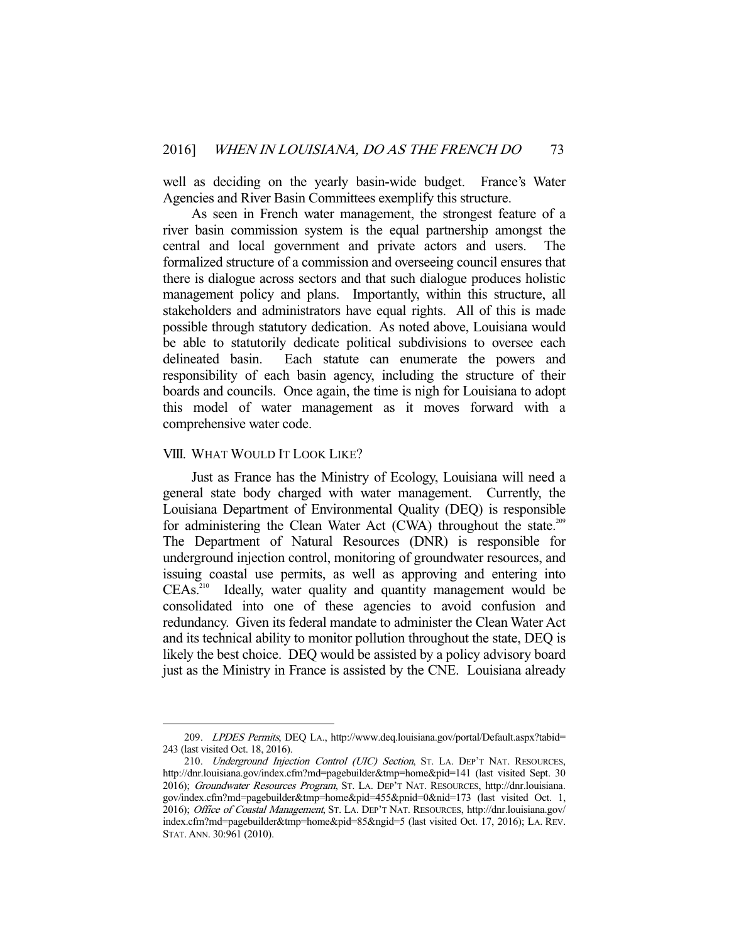well as deciding on the yearly basin-wide budget. France's Water Agencies and River Basin Committees exemplify this structure.

 As seen in French water management, the strongest feature of a river basin commission system is the equal partnership amongst the central and local government and private actors and users. The formalized structure of a commission and overseeing council ensures that there is dialogue across sectors and that such dialogue produces holistic management policy and plans. Importantly, within this structure, all stakeholders and administrators have equal rights. All of this is made possible through statutory dedication. As noted above, Louisiana would be able to statutorily dedicate political subdivisions to oversee each delineated basin. Each statute can enumerate the powers and responsibility of each basin agency, including the structure of their boards and councils. Once again, the time is nigh for Louisiana to adopt this model of water management as it moves forward with a comprehensive water code.

#### VIII. WHAT WOULD IT LOOK LIKE?

-

 Just as France has the Ministry of Ecology, Louisiana will need a general state body charged with water management. Currently, the Louisiana Department of Environmental Quality (DEQ) is responsible for administering the Clean Water Act (CWA) throughout the state.<sup>209</sup> The Department of Natural Resources (DNR) is responsible for underground injection control, monitoring of groundwater resources, and issuing coastal use permits, as well as approving and entering into CEAs.<sup>210</sup> Ideally, water quality and quantity management would be consolidated into one of these agencies to avoid confusion and redundancy. Given its federal mandate to administer the Clean Water Act and its technical ability to monitor pollution throughout the state, DEQ is likely the best choice. DEQ would be assisted by a policy advisory board just as the Ministry in France is assisted by the CNE. Louisiana already

 <sup>209.</sup> LPDES Permits, DEQ LA., http://www.deq.louisiana.gov/portal/Default.aspx?tabid= 243 (last visited Oct. 18, 2016).

<sup>210.</sup> Underground Injection Control (UIC) Section, ST. LA. DEP'T NAT. RESOURCES, http://dnr.louisiana.gov/index.cfm?md=pagebuilder&tmp=home&pid=141 (last visited Sept. 30 2016); Groundwater Resources Program, ST. LA. DEP'T NAT. RESOURCES, http://dnr.louisiana. gov/index.cfm?md=pagebuilder&tmp=home&pid=455&pnid=0&nid=173 (last visited Oct. 1, 2016); Office of Coastal Management, ST. LA. DEP'T NAT. RESOURCES, http://dnr.louisiana.gov/ index.cfm?md=pagebuilder&tmp=home&pid=85&ngid=5 (last visited Oct. 17, 2016); LA. REV. STAT. ANN. 30:961 (2010).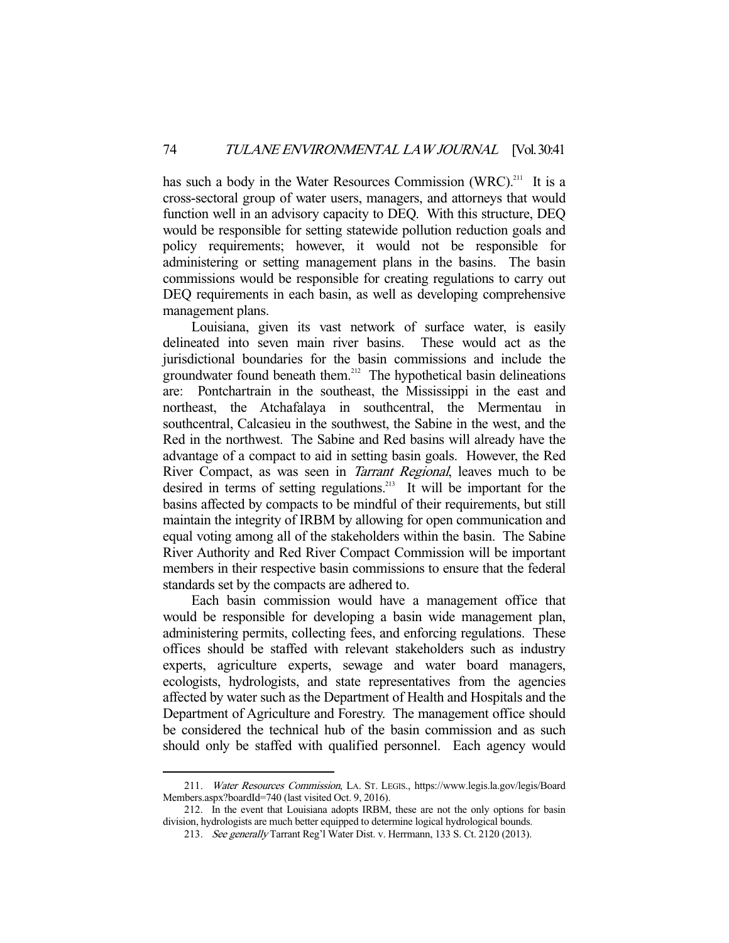has such a body in the Water Resources Commission (WRC).<sup>211</sup> It is a cross-sectoral group of water users, managers, and attorneys that would function well in an advisory capacity to DEQ. With this structure, DEQ would be responsible for setting statewide pollution reduction goals and policy requirements; however, it would not be responsible for administering or setting management plans in the basins. The basin commissions would be responsible for creating regulations to carry out DEQ requirements in each basin, as well as developing comprehensive management plans.

 Louisiana, given its vast network of surface water, is easily delineated into seven main river basins. These would act as the jurisdictional boundaries for the basin commissions and include the groundwater found beneath them.<sup>212</sup> The hypothetical basin delineations are: Pontchartrain in the southeast, the Mississippi in the east and northeast, the Atchafalaya in southcentral, the Mermentau in southcentral, Calcasieu in the southwest, the Sabine in the west, and the Red in the northwest. The Sabine and Red basins will already have the advantage of a compact to aid in setting basin goals. However, the Red River Compact, as was seen in *Tarrant Regional*, leaves much to be desired in terms of setting regulations.<sup>213</sup> It will be important for the basins affected by compacts to be mindful of their requirements, but still maintain the integrity of IRBM by allowing for open communication and equal voting among all of the stakeholders within the basin. The Sabine River Authority and Red River Compact Commission will be important members in their respective basin commissions to ensure that the federal standards set by the compacts are adhered to.

 Each basin commission would have a management office that would be responsible for developing a basin wide management plan, administering permits, collecting fees, and enforcing regulations. These offices should be staffed with relevant stakeholders such as industry experts, agriculture experts, sewage and water board managers, ecologists, hydrologists, and state representatives from the agencies affected by water such as the Department of Health and Hospitals and the Department of Agriculture and Forestry. The management office should be considered the technical hub of the basin commission and as such should only be staffed with qualified personnel. Each agency would

<sup>211.</sup> Water Resources Commission, LA. ST. LEGIS., https://www.legis.la.gov/legis/Board Members.aspx?boardId=740 (last visited Oct. 9, 2016).

 <sup>212.</sup> In the event that Louisiana adopts IRBM, these are not the only options for basin division, hydrologists are much better equipped to determine logical hydrological bounds.

<sup>213.</sup> See generally Tarrant Reg'l Water Dist. v. Herrmann, 133 S. Ct. 2120 (2013).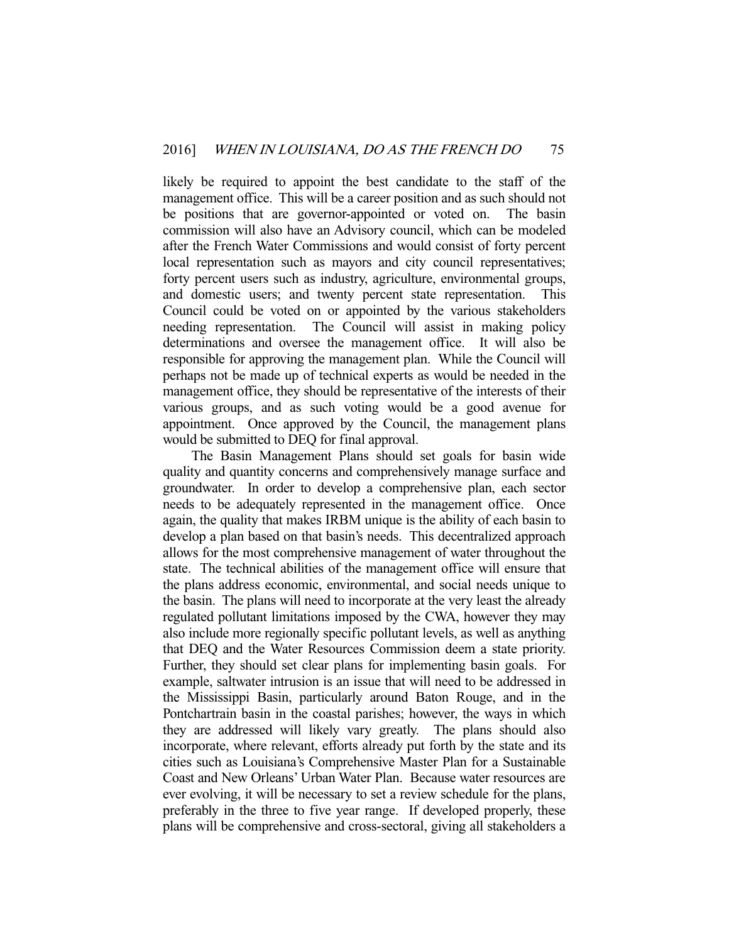likely be required to appoint the best candidate to the staff of the management office. This will be a career position and as such should not be positions that are governor-appointed or voted on. The basin commission will also have an Advisory council, which can be modeled after the French Water Commissions and would consist of forty percent local representation such as mayors and city council representatives; forty percent users such as industry, agriculture, environmental groups, and domestic users; and twenty percent state representation. This Council could be voted on or appointed by the various stakeholders needing representation. The Council will assist in making policy determinations and oversee the management office. It will also be responsible for approving the management plan. While the Council will perhaps not be made up of technical experts as would be needed in the management office, they should be representative of the interests of their various groups, and as such voting would be a good avenue for appointment. Once approved by the Council, the management plans would be submitted to DEQ for final approval.

 The Basin Management Plans should set goals for basin wide quality and quantity concerns and comprehensively manage surface and groundwater. In order to develop a comprehensive plan, each sector needs to be adequately represented in the management office. Once again, the quality that makes IRBM unique is the ability of each basin to develop a plan based on that basin's needs. This decentralized approach allows for the most comprehensive management of water throughout the state. The technical abilities of the management office will ensure that the plans address economic, environmental, and social needs unique to the basin. The plans will need to incorporate at the very least the already regulated pollutant limitations imposed by the CWA, however they may also include more regionally specific pollutant levels, as well as anything that DEQ and the Water Resources Commission deem a state priority. Further, they should set clear plans for implementing basin goals. For example, saltwater intrusion is an issue that will need to be addressed in the Mississippi Basin, particularly around Baton Rouge, and in the Pontchartrain basin in the coastal parishes; however, the ways in which they are addressed will likely vary greatly. The plans should also incorporate, where relevant, efforts already put forth by the state and its cities such as Louisiana's Comprehensive Master Plan for a Sustainable Coast and New Orleans' Urban Water Plan. Because water resources are ever evolving, it will be necessary to set a review schedule for the plans, preferably in the three to five year range. If developed properly, these plans will be comprehensive and cross-sectoral, giving all stakeholders a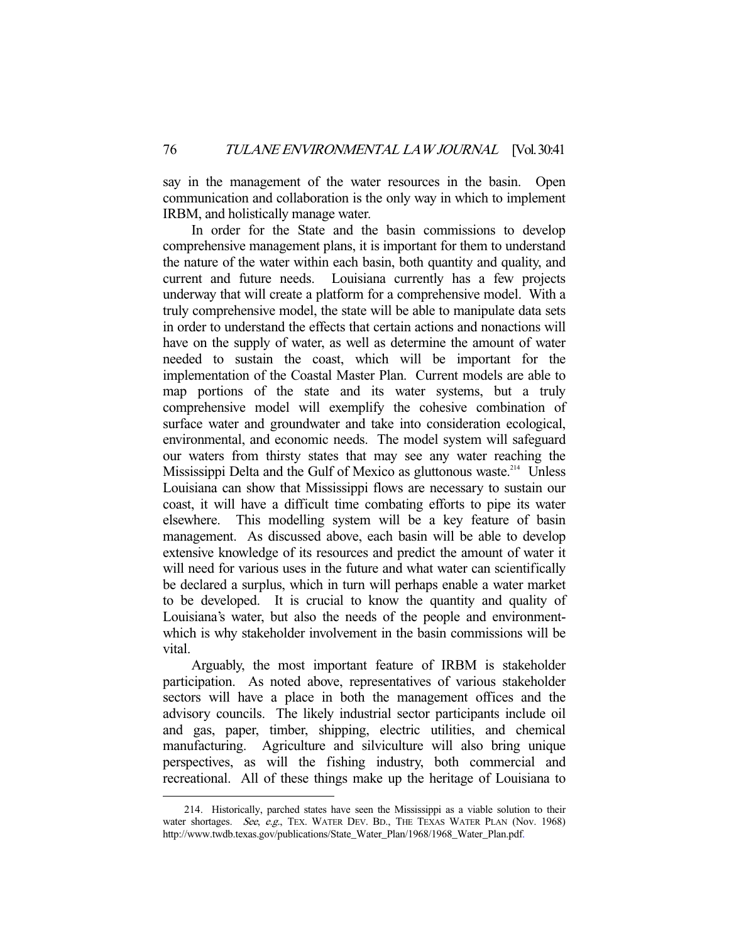say in the management of the water resources in the basin. Open communication and collaboration is the only way in which to implement IRBM, and holistically manage water.

 In order for the State and the basin commissions to develop comprehensive management plans, it is important for them to understand the nature of the water within each basin, both quantity and quality, and current and future needs. Louisiana currently has a few projects underway that will create a platform for a comprehensive model. With a truly comprehensive model, the state will be able to manipulate data sets in order to understand the effects that certain actions and nonactions will have on the supply of water, as well as determine the amount of water needed to sustain the coast, which will be important for the implementation of the Coastal Master Plan. Current models are able to map portions of the state and its water systems, but a truly comprehensive model will exemplify the cohesive combination of surface water and groundwater and take into consideration ecological, environmental, and economic needs. The model system will safeguard our waters from thirsty states that may see any water reaching the Mississippi Delta and the Gulf of Mexico as gluttonous waste.<sup>214</sup> Unless Louisiana can show that Mississippi flows are necessary to sustain our coast, it will have a difficult time combating efforts to pipe its water elsewhere. This modelling system will be a key feature of basin management. As discussed above, each basin will be able to develop extensive knowledge of its resources and predict the amount of water it will need for various uses in the future and what water can scientifically be declared a surplus, which in turn will perhaps enable a water market to be developed. It is crucial to know the quantity and quality of Louisiana's water, but also the needs of the people and environmentwhich is why stakeholder involvement in the basin commissions will be vital.

 Arguably, the most important feature of IRBM is stakeholder participation. As noted above, representatives of various stakeholder sectors will have a place in both the management offices and the advisory councils. The likely industrial sector participants include oil and gas, paper, timber, shipping, electric utilities, and chemical manufacturing. Agriculture and silviculture will also bring unique perspectives, as will the fishing industry, both commercial and recreational. All of these things make up the heritage of Louisiana to

 <sup>214.</sup> Historically, parched states have seen the Mississippi as a viable solution to their water shortages. See, e.g., TEX. WATER DEV. BD., THE TEXAS WATER PLAN (Nov. 1968) http://www.twdb.texas.gov/publications/State\_Water\_Plan/1968/1968\_Water\_Plan.pdf.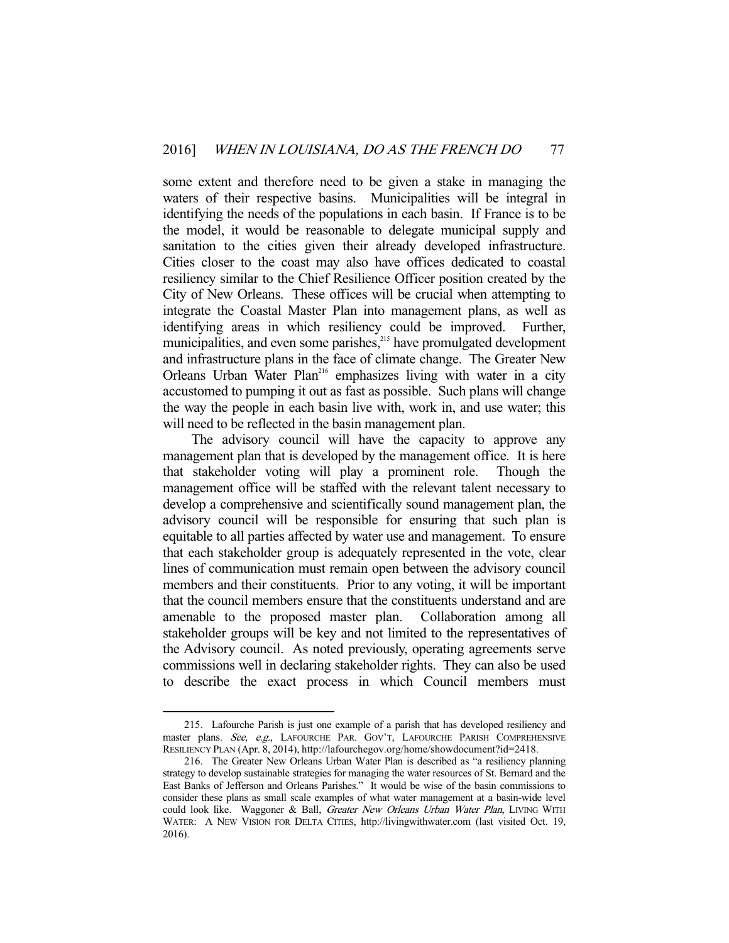some extent and therefore need to be given a stake in managing the waters of their respective basins. Municipalities will be integral in identifying the needs of the populations in each basin. If France is to be the model, it would be reasonable to delegate municipal supply and sanitation to the cities given their already developed infrastructure. Cities closer to the coast may also have offices dedicated to coastal resiliency similar to the Chief Resilience Officer position created by the City of New Orleans. These offices will be crucial when attempting to integrate the Coastal Master Plan into management plans, as well as identifying areas in which resiliency could be improved. Further, municipalities, and even some parishes,<sup>215</sup> have promulgated development and infrastructure plans in the face of climate change. The Greater New Orleans Urban Water Plan<sup>216</sup> emphasizes living with water in a city accustomed to pumping it out as fast as possible. Such plans will change the way the people in each basin live with, work in, and use water; this will need to be reflected in the basin management plan.

 The advisory council will have the capacity to approve any management plan that is developed by the management office. It is here that stakeholder voting will play a prominent role. Though the management office will be staffed with the relevant talent necessary to develop a comprehensive and scientifically sound management plan, the advisory council will be responsible for ensuring that such plan is equitable to all parties affected by water use and management. To ensure that each stakeholder group is adequately represented in the vote, clear lines of communication must remain open between the advisory council members and their constituents. Prior to any voting, it will be important that the council members ensure that the constituents understand and are amenable to the proposed master plan. Collaboration among all stakeholder groups will be key and not limited to the representatives of the Advisory council. As noted previously, operating agreements serve commissions well in declaring stakeholder rights. They can also be used to describe the exact process in which Council members must

 <sup>215.</sup> Lafourche Parish is just one example of a parish that has developed resiliency and master plans. See, e.g., LAFOURCHE PAR. GOV'T, LAFOURCHE PARISH COMPREHENSIVE RESILIENCY PLAN (Apr. 8, 2014), http://lafourchegov.org/home/showdocument?id=2418.

 <sup>216.</sup> The Greater New Orleans Urban Water Plan is described as "a resiliency planning strategy to develop sustainable strategies for managing the water resources of St. Bernard and the East Banks of Jefferson and Orleans Parishes." It would be wise of the basin commissions to consider these plans as small scale examples of what water management at a basin-wide level could look like. Waggoner & Ball, Greater New Orleans Urban Water Plan, LIVING WITH WATER: A NEW VISION FOR DELTA CITIES, http://livingwithwater.com (last visited Oct. 19, 2016).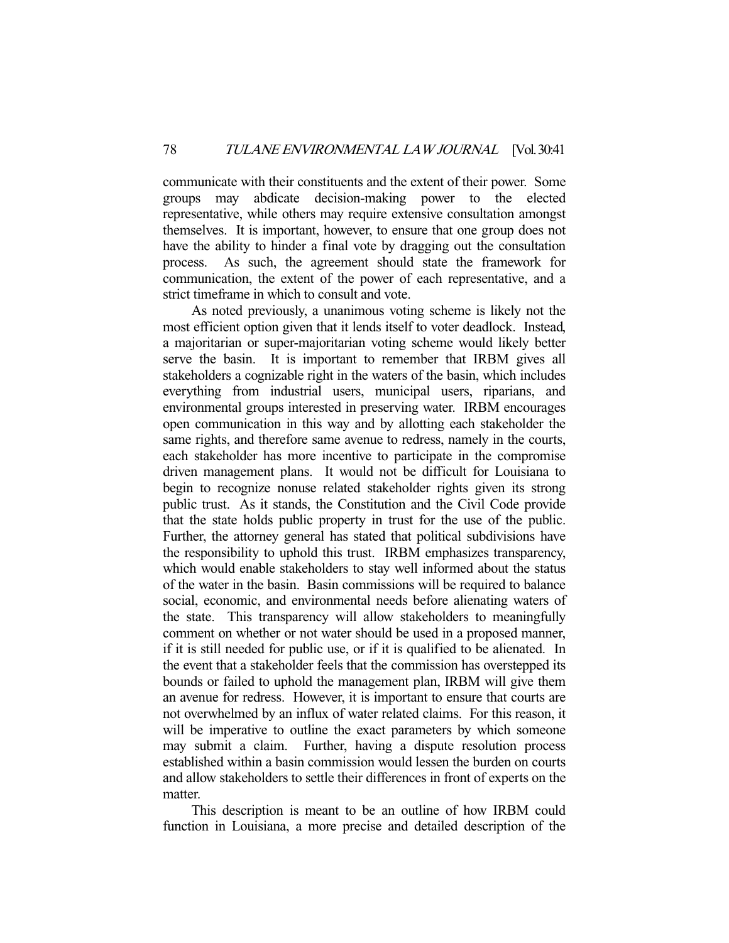communicate with their constituents and the extent of their power. Some groups may abdicate decision-making power to the elected representative, while others may require extensive consultation amongst themselves. It is important, however, to ensure that one group does not have the ability to hinder a final vote by dragging out the consultation process. As such, the agreement should state the framework for communication, the extent of the power of each representative, and a strict timeframe in which to consult and vote.

 As noted previously, a unanimous voting scheme is likely not the most efficient option given that it lends itself to voter deadlock. Instead, a majoritarian or super-majoritarian voting scheme would likely better serve the basin. It is important to remember that IRBM gives all stakeholders a cognizable right in the waters of the basin, which includes everything from industrial users, municipal users, riparians, and environmental groups interested in preserving water. IRBM encourages open communication in this way and by allotting each stakeholder the same rights, and therefore same avenue to redress, namely in the courts, each stakeholder has more incentive to participate in the compromise driven management plans. It would not be difficult for Louisiana to begin to recognize nonuse related stakeholder rights given its strong public trust. As it stands, the Constitution and the Civil Code provide that the state holds public property in trust for the use of the public. Further, the attorney general has stated that political subdivisions have the responsibility to uphold this trust. IRBM emphasizes transparency, which would enable stakeholders to stay well informed about the status of the water in the basin. Basin commissions will be required to balance social, economic, and environmental needs before alienating waters of the state. This transparency will allow stakeholders to meaningfully comment on whether or not water should be used in a proposed manner, if it is still needed for public use, or if it is qualified to be alienated. In the event that a stakeholder feels that the commission has overstepped its bounds or failed to uphold the management plan, IRBM will give them an avenue for redress. However, it is important to ensure that courts are not overwhelmed by an influx of water related claims. For this reason, it will be imperative to outline the exact parameters by which someone may submit a claim. Further, having a dispute resolution process established within a basin commission would lessen the burden on courts and allow stakeholders to settle their differences in front of experts on the matter.

 This description is meant to be an outline of how IRBM could function in Louisiana, a more precise and detailed description of the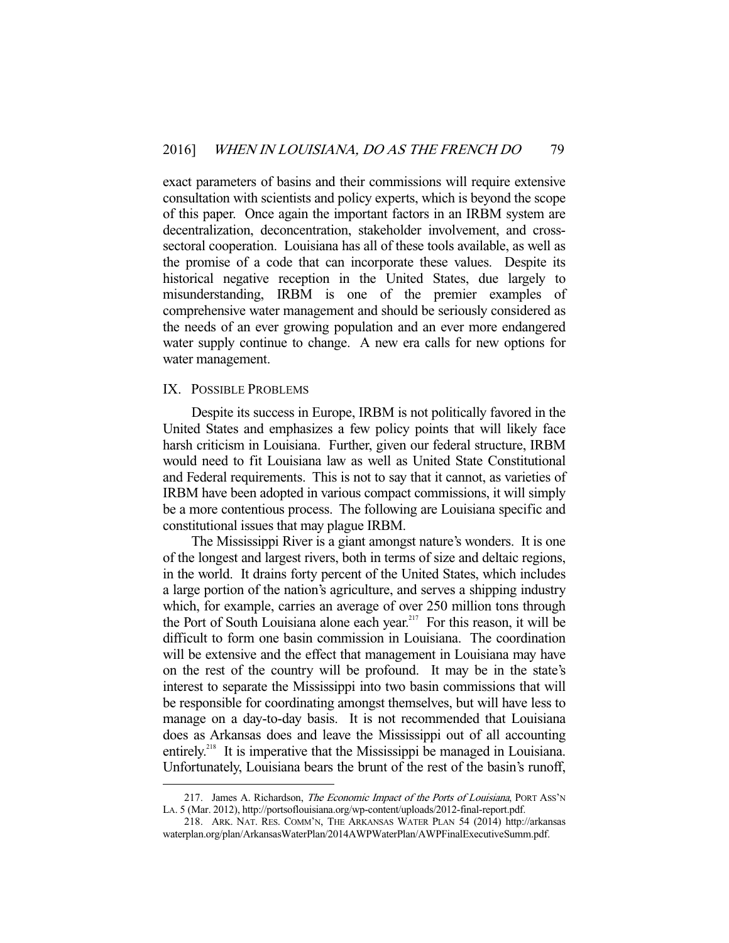exact parameters of basins and their commissions will require extensive consultation with scientists and policy experts, which is beyond the scope of this paper. Once again the important factors in an IRBM system are decentralization, deconcentration, stakeholder involvement, and crosssectoral cooperation. Louisiana has all of these tools available, as well as the promise of a code that can incorporate these values. Despite its historical negative reception in the United States, due largely to misunderstanding, IRBM is one of the premier examples of comprehensive water management and should be seriously considered as the needs of an ever growing population and an ever more endangered water supply continue to change. A new era calls for new options for water management.

#### IX. POSSIBLE PROBLEMS

-

 Despite its success in Europe, IRBM is not politically favored in the United States and emphasizes a few policy points that will likely face harsh criticism in Louisiana. Further, given our federal structure, IRBM would need to fit Louisiana law as well as United State Constitutional and Federal requirements. This is not to say that it cannot, as varieties of IRBM have been adopted in various compact commissions, it will simply be a more contentious process. The following are Louisiana specific and constitutional issues that may plague IRBM.

 The Mississippi River is a giant amongst nature's wonders. It is one of the longest and largest rivers, both in terms of size and deltaic regions, in the world. It drains forty percent of the United States, which includes a large portion of the nation's agriculture, and serves a shipping industry which, for example, carries an average of over 250 million tons through the Port of South Louisiana alone each year.<sup>217</sup> For this reason, it will be difficult to form one basin commission in Louisiana. The coordination will be extensive and the effect that management in Louisiana may have on the rest of the country will be profound. It may be in the state's interest to separate the Mississippi into two basin commissions that will be responsible for coordinating amongst themselves, but will have less to manage on a day-to-day basis. It is not recommended that Louisiana does as Arkansas does and leave the Mississippi out of all accounting entirely.<sup>218</sup> It is imperative that the Mississippi be managed in Louisiana. Unfortunately, Louisiana bears the brunt of the rest of the basin's runoff,

<sup>217.</sup> James A. Richardson, The Economic Impact of the Ports of Louisiana, PORT ASS'N LA. 5 (Mar. 2012), http://portsoflouisiana.org/wp-content/uploads/2012-final-report.pdf.

 <sup>218.</sup> ARK. NAT. RES. COMM'N, THE ARKANSAS WATER PLAN 54 (2014) http://arkansas waterplan.org/plan/ArkansasWaterPlan/2014AWPWaterPlan/AWPFinalExecutiveSumm.pdf.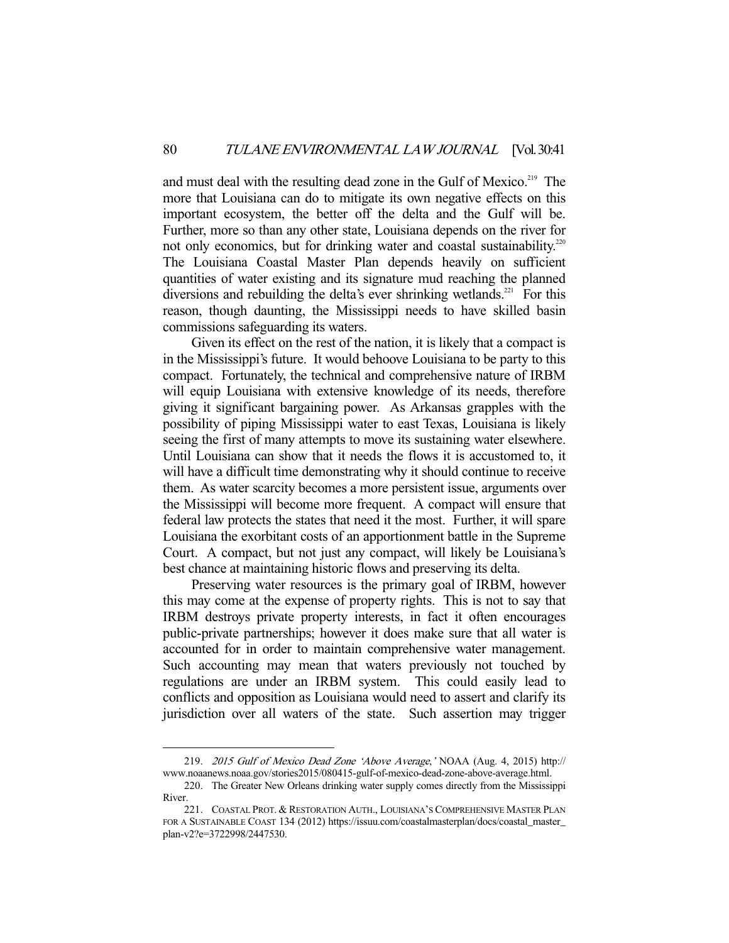and must deal with the resulting dead zone in the Gulf of Mexico.<sup>219</sup> The more that Louisiana can do to mitigate its own negative effects on this important ecosystem, the better off the delta and the Gulf will be. Further, more so than any other state, Louisiana depends on the river for not only economics, but for drinking water and coastal sustainability.<sup>220</sup> The Louisiana Coastal Master Plan depends heavily on sufficient quantities of water existing and its signature mud reaching the planned diversions and rebuilding the delta's ever shrinking wetlands.<sup>221</sup> For this reason, though daunting, the Mississippi needs to have skilled basin commissions safeguarding its waters.

 Given its effect on the rest of the nation, it is likely that a compact is in the Mississippi's future. It would behoove Louisiana to be party to this compact. Fortunately, the technical and comprehensive nature of IRBM will equip Louisiana with extensive knowledge of its needs, therefore giving it significant bargaining power. As Arkansas grapples with the possibility of piping Mississippi water to east Texas, Louisiana is likely seeing the first of many attempts to move its sustaining water elsewhere. Until Louisiana can show that it needs the flows it is accustomed to, it will have a difficult time demonstrating why it should continue to receive them. As water scarcity becomes a more persistent issue, arguments over the Mississippi will become more frequent. A compact will ensure that federal law protects the states that need it the most. Further, it will spare Louisiana the exorbitant costs of an apportionment battle in the Supreme Court. A compact, but not just any compact, will likely be Louisiana's best chance at maintaining historic flows and preserving its delta.

 Preserving water resources is the primary goal of IRBM, however this may come at the expense of property rights. This is not to say that IRBM destroys private property interests, in fact it often encourages public-private partnerships; however it does make sure that all water is accounted for in order to maintain comprehensive water management. Such accounting may mean that waters previously not touched by regulations are under an IRBM system. This could easily lead to conflicts and opposition as Louisiana would need to assert and clarify its jurisdiction over all waters of the state. Such assertion may trigger

 <sup>219.</sup> 2015 Gulf of Mexico Dead Zone 'Above Average,' NOAA (Aug. 4, 2015) http:// www.noaanews.noaa.gov/stories2015/080415-gulf-of-mexico-dead-zone-above-average.html.

 <sup>220.</sup> The Greater New Orleans drinking water supply comes directly from the Mississippi River.

 <sup>221.</sup> COASTAL PROT. & RESTORATION AUTH., LOUISIANA'S COMPREHENSIVE MASTER PLAN FOR A SUSTAINABLE COAST 134 (2012) https://issuu.com/coastalmasterplan/docs/coastal\_master\_ plan-v2?e=3722998/2447530.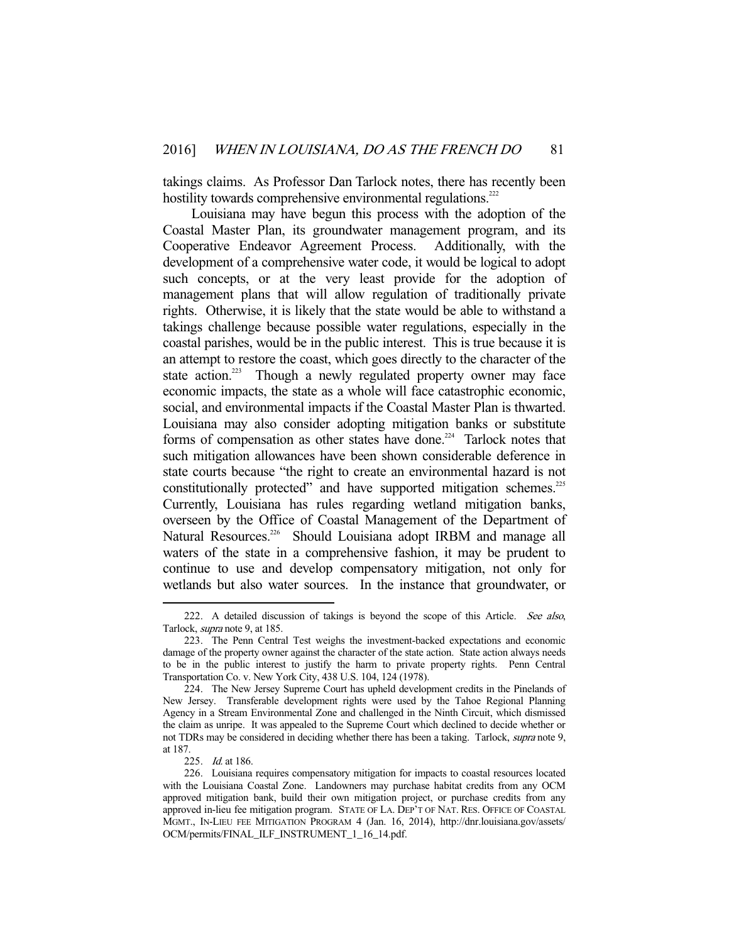takings claims. As Professor Dan Tarlock notes, there has recently been hostility towards comprehensive environmental regulations.<sup>222</sup>

 Louisiana may have begun this process with the adoption of the Coastal Master Plan, its groundwater management program, and its Cooperative Endeavor Agreement Process. Additionally, with the development of a comprehensive water code, it would be logical to adopt such concepts, or at the very least provide for the adoption of management plans that will allow regulation of traditionally private rights. Otherwise, it is likely that the state would be able to withstand a takings challenge because possible water regulations, especially in the coastal parishes, would be in the public interest. This is true because it is an attempt to restore the coast, which goes directly to the character of the state action.<sup>223</sup> Though a newly regulated property owner may face economic impacts, the state as a whole will face catastrophic economic, social, and environmental impacts if the Coastal Master Plan is thwarted. Louisiana may also consider adopting mitigation banks or substitute forms of compensation as other states have done.<sup>224</sup> Tarlock notes that such mitigation allowances have been shown considerable deference in state courts because "the right to create an environmental hazard is not constitutionally protected" and have supported mitigation schemes.<sup>225</sup> Currently, Louisiana has rules regarding wetland mitigation banks, overseen by the Office of Coastal Management of the Department of Natural Resources.<sup>226</sup> Should Louisiana adopt IRBM and manage all waters of the state in a comprehensive fashion, it may be prudent to continue to use and develop compensatory mitigation, not only for wetlands but also water sources. In the instance that groundwater, or

<sup>222.</sup> A detailed discussion of takings is beyond the scope of this Article. See also, Tarlock, supra note 9, at 185.

 <sup>223.</sup> The Penn Central Test weighs the investment-backed expectations and economic damage of the property owner against the character of the state action. State action always needs to be in the public interest to justify the harm to private property rights. Penn Central Transportation Co. v. New York City, 438 U.S. 104, 124 (1978).

 <sup>224.</sup> The New Jersey Supreme Court has upheld development credits in the Pinelands of New Jersey. Transferable development rights were used by the Tahoe Regional Planning Agency in a Stream Environmental Zone and challenged in the Ninth Circuit, which dismissed the claim as unripe. It was appealed to the Supreme Court which declined to decide whether or not TDRs may be considered in deciding whether there has been a taking. Tarlock, *supra* note 9, at 187.

 <sup>225.</sup> Id. at 186.

 <sup>226.</sup> Louisiana requires compensatory mitigation for impacts to coastal resources located with the Louisiana Coastal Zone. Landowners may purchase habitat credits from any OCM approved mitigation bank, build their own mitigation project, or purchase credits from any approved in-lieu fee mitigation program. STATE OF LA. DEP'T OF NAT. RES. OFFICE OF COASTAL MGMT., IN-LIEU FEE MITIGATION PROGRAM 4 (Jan. 16, 2014), http://dnr.louisiana.gov/assets/ OCM/permits/FINAL\_ILF\_INSTRUMENT\_1\_16\_14.pdf.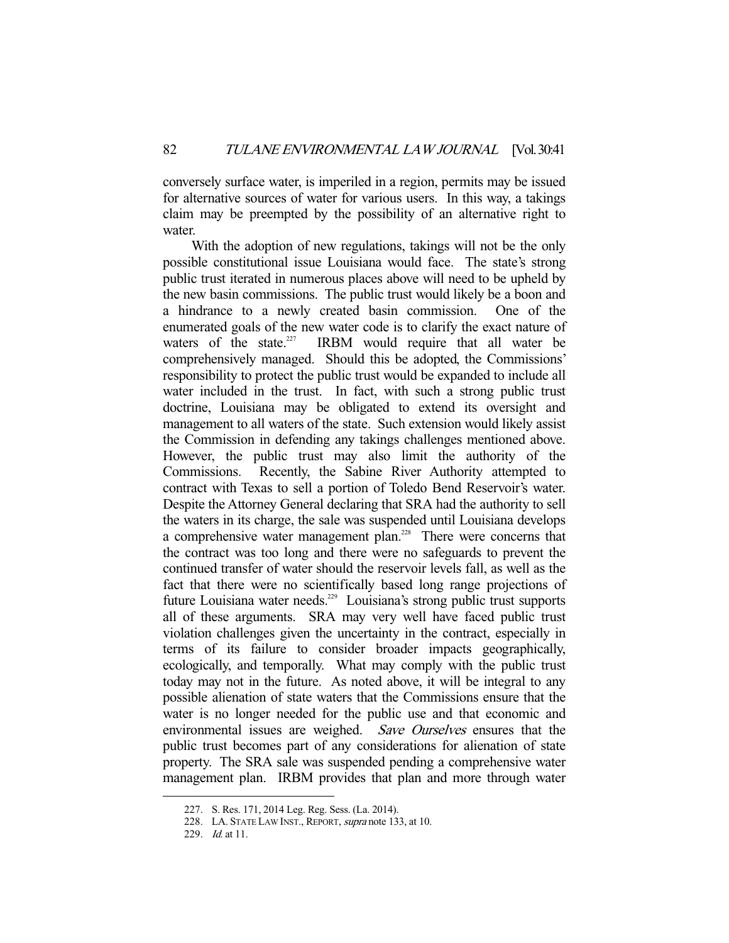conversely surface water, is imperiled in a region, permits may be issued for alternative sources of water for various users. In this way, a takings claim may be preempted by the possibility of an alternative right to water.

 With the adoption of new regulations, takings will not be the only possible constitutional issue Louisiana would face. The state's strong public trust iterated in numerous places above will need to be upheld by the new basin commissions. The public trust would likely be a boon and a hindrance to a newly created basin commission. One of the enumerated goals of the new water code is to clarify the exact nature of waters of the state. $227$  IRBM would require that all water be comprehensively managed. Should this be adopted, the Commissions' responsibility to protect the public trust would be expanded to include all water included in the trust. In fact, with such a strong public trust doctrine, Louisiana may be obligated to extend its oversight and management to all waters of the state. Such extension would likely assist the Commission in defending any takings challenges mentioned above. However, the public trust may also limit the authority of the Commissions. Recently, the Sabine River Authority attempted to contract with Texas to sell a portion of Toledo Bend Reservoir's water. Despite the Attorney General declaring that SRA had the authority to sell the waters in its charge, the sale was suspended until Louisiana develops a comprehensive water management plan.228 There were concerns that the contract was too long and there were no safeguards to prevent the continued transfer of water should the reservoir levels fall, as well as the fact that there were no scientifically based long range projections of future Louisiana water needs.<sup>229</sup> Louisiana's strong public trust supports all of these arguments. SRA may very well have faced public trust violation challenges given the uncertainty in the contract, especially in terms of its failure to consider broader impacts geographically, ecologically, and temporally. What may comply with the public trust today may not in the future. As noted above, it will be integral to any possible alienation of state waters that the Commissions ensure that the water is no longer needed for the public use and that economic and environmental issues are weighed. Save Ourselves ensures that the public trust becomes part of any considerations for alienation of state property. The SRA sale was suspended pending a comprehensive water management plan. IRBM provides that plan and more through water

 <sup>227.</sup> S. Res. 171, 2014 Leg. Reg. Sess. (La. 2014).

<sup>228.</sup> LA. STATE LAW INST., REPORT, supra note 133, at 10.

<sup>229.</sup> *Id.* at 11.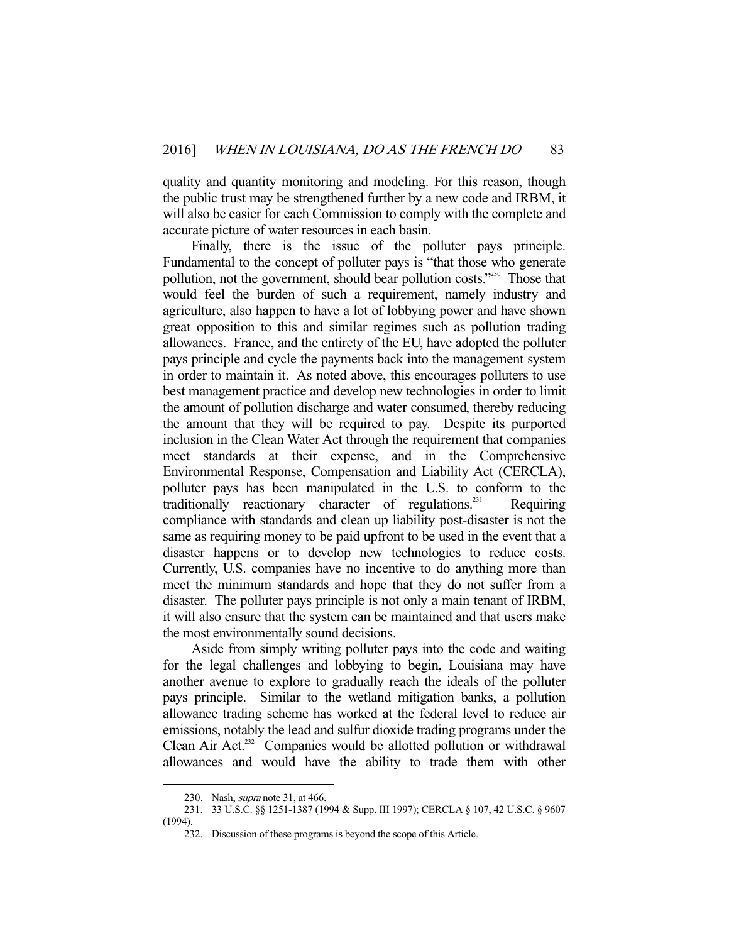quality and quantity monitoring and modeling. For this reason, though the public trust may be strengthened further by a new code and IRBM, it will also be easier for each Commission to comply with the complete and accurate picture of water resources in each basin.

Finally, there is the issue of the polluter pays principle. Fundamental to the concept of polluter pays is "that those who generate pollution, not the government, should bear pollution costs."<sup>230</sup> Those that would feel the burden of such a requirement, namely industry and agriculture, also happen to have a lot of lobbying power and have shown great opposition to this and similar regimes such as pollution trading allowances. France, and the entirety of the EU, have adopted the polluter pays principle and cycle the payments back into the management system in order to maintain it. As noted above, this encourages polluters to use best management practice and develop new technologies in order to limit the amount of pollution discharge and water consumed, thereby reducing the amount that they will be required to pay. Despite its purported inclusion in the Clean Water Act through the requirement that companies meet standards at their expense, and in the Comprehensive Environmental Response, Compensation and Liability Act (CERCLA), polluter pays has been manipulated in the U.S. to conform to the traditionally reactionary character of regulations.<sup>231</sup> Requiring compliance with standards and clean up liability post-disaster is not the same as requiring money to be paid upfront to be used in the event that a disaster happens or to develop new technologies to reduce costs. Currently, U.S. companies have no incentive to do anything more than meet the minimum standards and hope that they do not suffer from a disaster. The polluter pays principle is not only a main tenant of IRBM, it will also ensure that the system can be maintained and that users make the most environmentally sound decisions.

 Aside from simply writing polluter pays into the code and waiting for the legal challenges and lobbying to begin, Louisiana may have another avenue to explore to gradually reach the ideals of the polluter pays principle. Similar to the wetland mitigation banks, a pollution allowance trading scheme has worked at the federal level to reduce air emissions, notably the lead and sulfur dioxide trading programs under the Clean Air Act.<sup>232</sup> Companies would be allotted pollution or withdrawal allowances and would have the ability to trade them with other

<sup>230.</sup> Nash, *supra* note 31, at 466.

 <sup>231. 33</sup> U.S.C. §§ 1251-1387 (1994 & Supp. III 1997); CERCLA § 107, 42 U.S.C. § 9607 (1994).

 <sup>232.</sup> Discussion of these programs is beyond the scope of this Article.